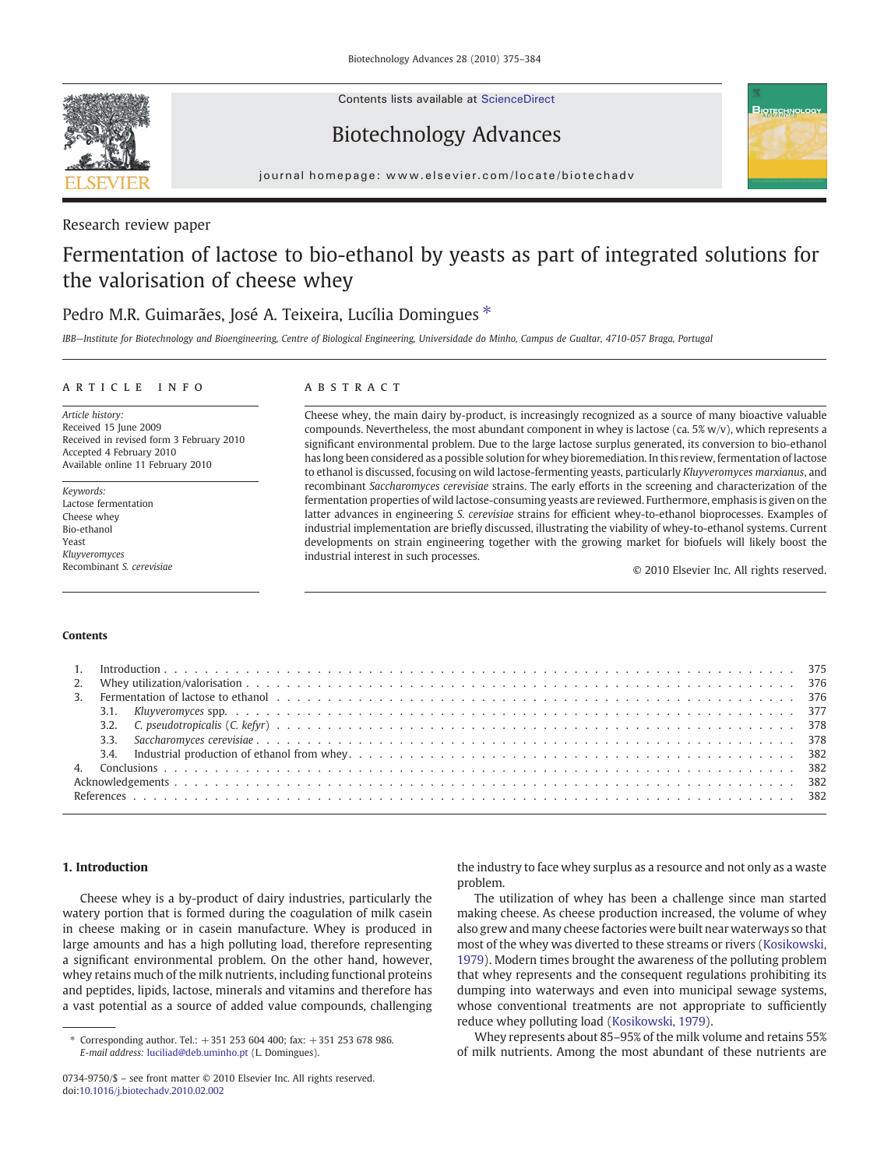Contents lists available at [ScienceDirect](http://www.sciencedirect.com/science/journal/07349750)

# Biotechnology Advances



journal homepage: www.elsevier.com/locate/biotechadv

### Research review paper

# Fermentation of lactose to bio-ethanol by yeasts as part of integrated solutions for the valorisation of cheese whey

## Pedro M.R. Guimarães, José A. Teixeira, Lucília Domingues<sup>\*</sup>

IBB—Institute for Biotechnology and Bioengineering, Centre of Biological Engineering, Universidade do Minho, Campus de Gualtar, 4710-057 Braga, Portugal

### article info abstract

Article history: Received 15 June 2009 Received in revised form 3 February 2010 Accepted 4 February 2010 Available online 11 February 2010

Keywords: Lactose fermentation Cheese whey Bio-ethanol Yeast Kluyveromyces Recombinant S. cerevisiae

Cheese whey, the main dairy by-product, is increasingly recognized as a source of many bioactive valuable compounds. Nevertheless, the most abundant component in whey is lactose (ca. 5% w/v), which represents a significant environmental problem. Due to the large lactose surplus generated, its conversion to bio-ethanol has long been considered as a possible solution for whey bioremediation. In this review, fermentation of lactose to ethanol is discussed, focusing on wild lactose-fermenting yeasts, particularly Kluyveromyces marxianus, and recombinant Saccharomyces cerevisiae strains. The early efforts in the screening and characterization of the fermentation properties of wild lactose-consuming yeasts are reviewed. Furthermore, emphasis is given on the latter advances in engineering S. cerevisiae strains for efficient whey-to-ethanol bioprocesses. Examples of industrial implementation are briefly discussed, illustrating the viability of whey-to-ethanol systems. Current developments on strain engineering together with the growing market for biofuels will likely boost the industrial interest in such processes.

© 2010 Elsevier Inc. All rights reserved.

#### Contents

|  | 3. Fermentation of lactose to ethanol et al., et al., et al., et al., et al., et al., et al., et al., et al., et al., et al., et al., and the state of the state of the state of the state of the state of the state of the st |  |  |  |  |  |  |  |  |  |
|--|--------------------------------------------------------------------------------------------------------------------------------------------------------------------------------------------------------------------------------|--|--|--|--|--|--|--|--|--|
|  |                                                                                                                                                                                                                                |  |  |  |  |  |  |  |  |  |
|  |                                                                                                                                                                                                                                |  |  |  |  |  |  |  |  |  |
|  |                                                                                                                                                                                                                                |  |  |  |  |  |  |  |  |  |
|  |                                                                                                                                                                                                                                |  |  |  |  |  |  |  |  |  |
|  |                                                                                                                                                                                                                                |  |  |  |  |  |  |  |  |  |
|  |                                                                                                                                                                                                                                |  |  |  |  |  |  |  |  |  |
|  |                                                                                                                                                                                                                                |  |  |  |  |  |  |  |  |  |

#### 1. Introduction

Cheese whey is a by-product of dairy industries, particularly the watery portion that is formed during the coagulation of milk casein in cheese making or in casein manufacture. Whey is produced in large amounts and has a high polluting load, therefore representing a significant environmental problem. On the other hand, however, whey retains much of the milk nutrients, including functional proteins and peptides, lipids, lactose, minerals and vitamins and therefore has a vast potential as a source of added value compounds, challenging the industry to face whey surplus as a resource and not only as a waste problem.

The utilization of whey has been a challenge since man started making cheese. As cheese production increased, the volume of whey also grew and many cheese factories were built near waterways so that most of the whey was diverted to these streams or rivers ([Kosikowski,](#page-8-0) [1979\)](#page-8-0). Modern times brought the awareness of the polluting problem that whey represents and the consequent regulations prohibiting its dumping into waterways and even into municipal sewage systems, whose conventional treatments are not appropriate to sufficiently reduce whey polluting load ([Kosikowski, 1979](#page-8-0)).

Whey represents about 85–95% of the milk volume and retains 55% of milk nutrients. Among the most abundant of these nutrients are

<sup>⁎</sup> Corresponding author. Tel.: +351 253 604 400; fax: +351 253 678 986. E-mail address: [luciliad@deb.uminho.pt](mailto:luciliad@deb.uminho.pt) (L. Domingues).

<sup>0734-9750/\$</sup> – see front matter © 2010 Elsevier Inc. All rights reserved. doi:[10.1016/j.biotechadv.2010.02.002](http://dx.doi.org/10.1016/j.biotechadv.2010.02.002)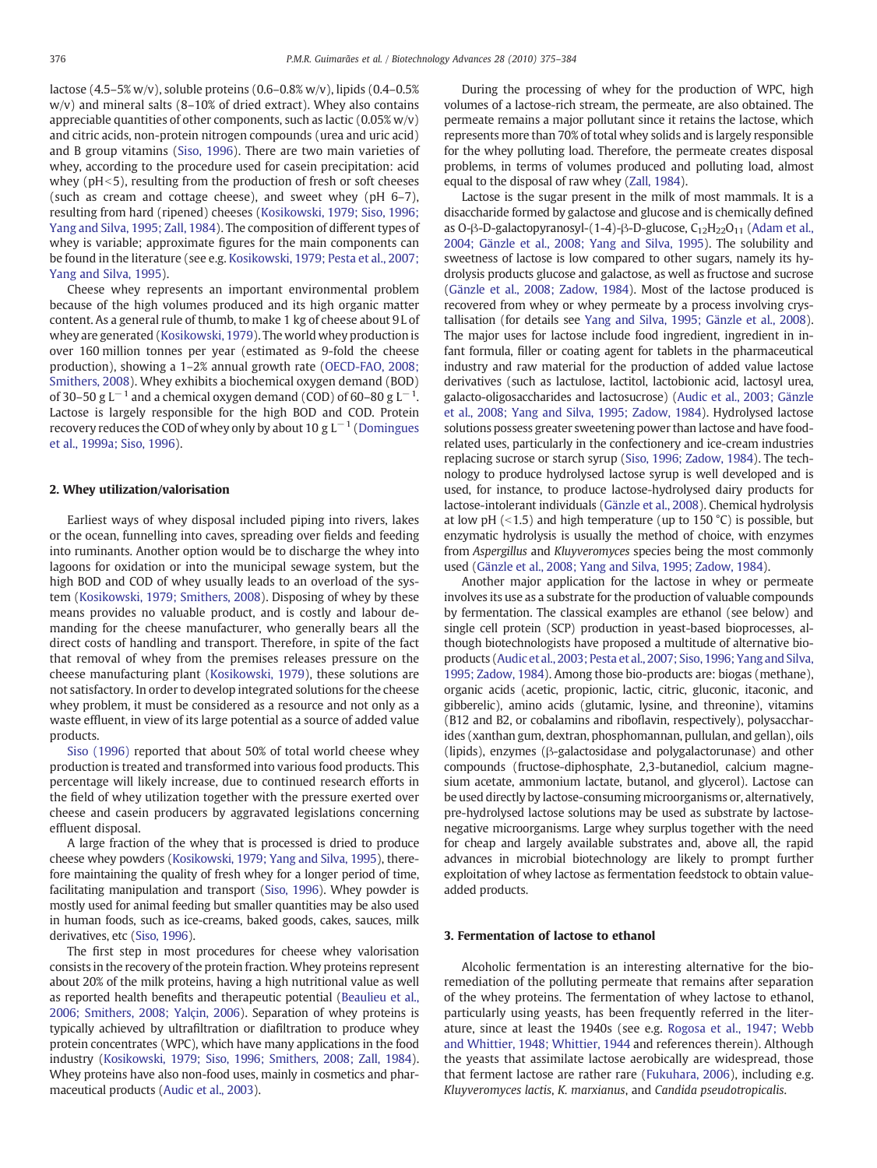lactose (4.5–5% w/v), soluble proteins (0.6–0.8% w/v), lipids (0.4–0.5% w/v) and mineral salts (8–10% of dried extract). Whey also contains appreciable quantities of other components, such as lactic  $(0.05\% w/v)$ and citric acids, non-protein nitrogen compounds (urea and uric acid) and B group vitamins ([Siso, 1996](#page-9-0)). There are two main varieties of whey, according to the procedure used for casein precipitation: acid whey ( $pH<5$ ), resulting from the production of fresh or soft cheeses (such as cream and cottage cheese), and sweet whey (pH 6–7), resulting from hard (ripened) cheeses [\(Kosikowski, 1979; Siso, 1996;](#page-8-0) [Yang and Silva, 1995; Zall, 1984\)](#page-8-0). The composition of different types of whey is variable; approximate figures for the main components can be found in the literature (see e.g. [Kosikowski, 1979; Pesta et al., 2007;](#page-8-0) [Yang and Silva, 1995\)](#page-8-0).

Cheese whey represents an important environmental problem because of the high volumes produced and its high organic matter content. As a general rule of thumb, to make 1 kg of cheese about 9L of whey are generated [\(Kosikowski, 1979\)](#page-8-0). The world whey production is over 160 million tonnes per year (estimated as 9-fold the cheese production), showing a 1–2% annual growth rate ([OECD-FAO, 2008;](#page-9-0) [Smithers, 2008](#page-9-0)). Whey exhibits a biochemical oxygen demand (BOD) of 30–50 g L $^{-1}$  and a chemical oxygen demand (COD) of 60–80 g L $^{-1}$ . Lactose is largely responsible for the high BOD and COD. Protein recovery reduces the COD of whey only by about 10 g  $L^{-1}$  ([Domingues](#page-8-0) [et al., 1999a; Siso, 1996\)](#page-8-0).

#### 2. Whey utilization/valorisation

Earliest ways of whey disposal included piping into rivers, lakes or the ocean, funnelling into caves, spreading over fields and feeding into ruminants. Another option would be to discharge the whey into lagoons for oxidation or into the municipal sewage system, but the high BOD and COD of whey usually leads to an overload of the system ([Kosikowski, 1979; Smithers, 2008](#page-8-0)). Disposing of whey by these means provides no valuable product, and is costly and labour demanding for the cheese manufacturer, who generally bears all the direct costs of handling and transport. Therefore, in spite of the fact that removal of whey from the premises releases pressure on the cheese manufacturing plant ([Kosikowski, 1979\)](#page-8-0), these solutions are not satisfactory. In order to develop integrated solutions for the cheese whey problem, it must be considered as a resource and not only as a waste effluent, in view of its large potential as a source of added value products.

[Siso \(1996\)](#page-9-0) reported that about 50% of total world cheese whey production is treated and transformed into various food products. This percentage will likely increase, due to continued research efforts in the field of whey utilization together with the pressure exerted over cheese and casein producers by aggravated legislations concerning effluent disposal.

A large fraction of the whey that is processed is dried to produce cheese whey powders [\(Kosikowski, 1979; Yang and Silva, 1995\)](#page-8-0), therefore maintaining the quality of fresh whey for a longer period of time, facilitating manipulation and transport [\(Siso, 1996](#page-9-0)). Whey powder is mostly used for animal feeding but smaller quantities may be also used in human foods, such as ice-creams, baked goods, cakes, sauces, milk derivatives, etc [\(Siso, 1996\)](#page-9-0).

The first step in most procedures for cheese whey valorisation consists in the recovery of the protein fraction. Whey proteins represent about 20% of the milk proteins, having a high nutritional value as well as reported health benefits and therapeutic potential [\(Beaulieu et al.,](#page-7-0) [2006; Smithers, 2008; Yalçin, 2006\)](#page-7-0). Separation of whey proteins is typically achieved by ultrafiltration or diafiltration to produce whey protein concentrates (WPC), which have many applications in the food industry [\(Kosikowski, 1979; Siso, 1996; Smithers, 2008; Zall, 1984\)](#page-8-0). Whey proteins have also non-food uses, mainly in cosmetics and pharmaceutical products [\(Audic et al., 2003](#page-7-0)).

During the processing of whey for the production of WPC, high volumes of a lactose-rich stream, the permeate, are also obtained. The permeate remains a major pollutant since it retains the lactose, which represents more than 70% of total whey solids and is largely responsible for the whey polluting load. Therefore, the permeate creates disposal problems, in terms of volumes produced and polluting load, almost equal to the disposal of raw whey ([Zall, 1984](#page-9-0)).

Lactose is the sugar present in the milk of most mammals. It is a disaccharide formed by galactose and glucose and is chemically defined as O-β-D-galactopyranosyl-(1-4)-β-D-glucose,  $C_{12}H_{22}O_{11}$  ([Adam et al.,](#page-7-0) [2004; Gänzle et al., 2008; Yang and Silva, 1995](#page-7-0)). The solubility and sweetness of lactose is low compared to other sugars, namely its hydrolysis products glucose and galactose, as well as fructose and sucrose [\(Gänzle et al., 2008; Zadow, 1984](#page-8-0)). Most of the lactose produced is recovered from whey or whey permeate by a process involving crystallisation (for details see [Yang and Silva, 1995; Gänzle et al., 2008\)](#page-9-0). The major uses for lactose include food ingredient, ingredient in infant formula, filler or coating agent for tablets in the pharmaceutical industry and raw material for the production of added value lactose derivatives (such as lactulose, lactitol, lactobionic acid, lactosyl urea, galacto-oligosaccharides and lactosucrose) [\(Audic et al., 2003; Gänzle](#page-7-0) [et al., 2008; Yang and Silva, 1995; Zadow, 1984](#page-7-0)). Hydrolysed lactose solutions possess greater sweetening power than lactose and have foodrelated uses, particularly in the confectionery and ice-cream industries replacing sucrose or starch syrup [\(Siso, 1996; Zadow, 1984\)](#page-9-0). The technology to produce hydrolysed lactose syrup is well developed and is used, for instance, to produce lactose-hydrolysed dairy products for lactose-intolerant individuals ([Gänzle et al., 2008\)](#page-8-0). Chemical hydrolysis at low pH  $($  < 1.5) and high temperature (up to 150 °C) is possible, but enzymatic hydrolysis is usually the method of choice, with enzymes from Aspergillus and Kluyveromyces species being the most commonly used [\(Gänzle et al., 2008; Yang and Silva, 1995; Zadow, 1984](#page-8-0)).

Another major application for the lactose in whey or permeate involves its use as a substrate for the production of valuable compounds by fermentation. The classical examples are ethanol (see below) and single cell protein (SCP) production in yeast-based bioprocesses, although biotechnologists have proposed a multitude of alternative bioproducts ([Audic et al., 2003; Pesta et al., 2007; Siso, 1996; Yang and Silva,](#page-7-0) [1995; Zadow, 1984\)](#page-7-0). Among those bio-products are: biogas (methane), organic acids (acetic, propionic, lactic, citric, gluconic, itaconic, and gibberelic), amino acids (glutamic, lysine, and threonine), vitamins (B12 and B2, or cobalamins and riboflavin, respectively), polysaccharides (xanthan gum, dextran, phosphomannan, pullulan, and gellan), oils (lipids), enzymes (β-galactosidase and polygalactorunase) and other compounds (fructose-diphosphate, 2,3-butanediol, calcium magnesium acetate, ammonium lactate, butanol, and glycerol). Lactose can be used directly by lactose-consuming microorganisms or, alternatively, pre-hydrolysed lactose solutions may be used as substrate by lactosenegative microorganisms. Large whey surplus together with the need for cheap and largely available substrates and, above all, the rapid advances in microbial biotechnology are likely to prompt further exploitation of whey lactose as fermentation feedstock to obtain valueadded products.

#### 3. Fermentation of lactose to ethanol

Alcoholic fermentation is an interesting alternative for the bioremediation of the polluting permeate that remains after separation of the whey proteins. The fermentation of whey lactose to ethanol, particularly using yeasts, has been frequently referred in the literature, since at least the 1940s (see e.g. [Rogosa et al., 1947; Webb](#page-9-0) [and Whittier, 1948; Whittier, 1944](#page-9-0) and references therein). Although the yeasts that assimilate lactose aerobically are widespread, those that ferment lactose are rather rare [\(Fukuhara, 2006\)](#page-8-0), including e.g. Kluyveromyces lactis, K. marxianus, and Candida pseudotropicalis.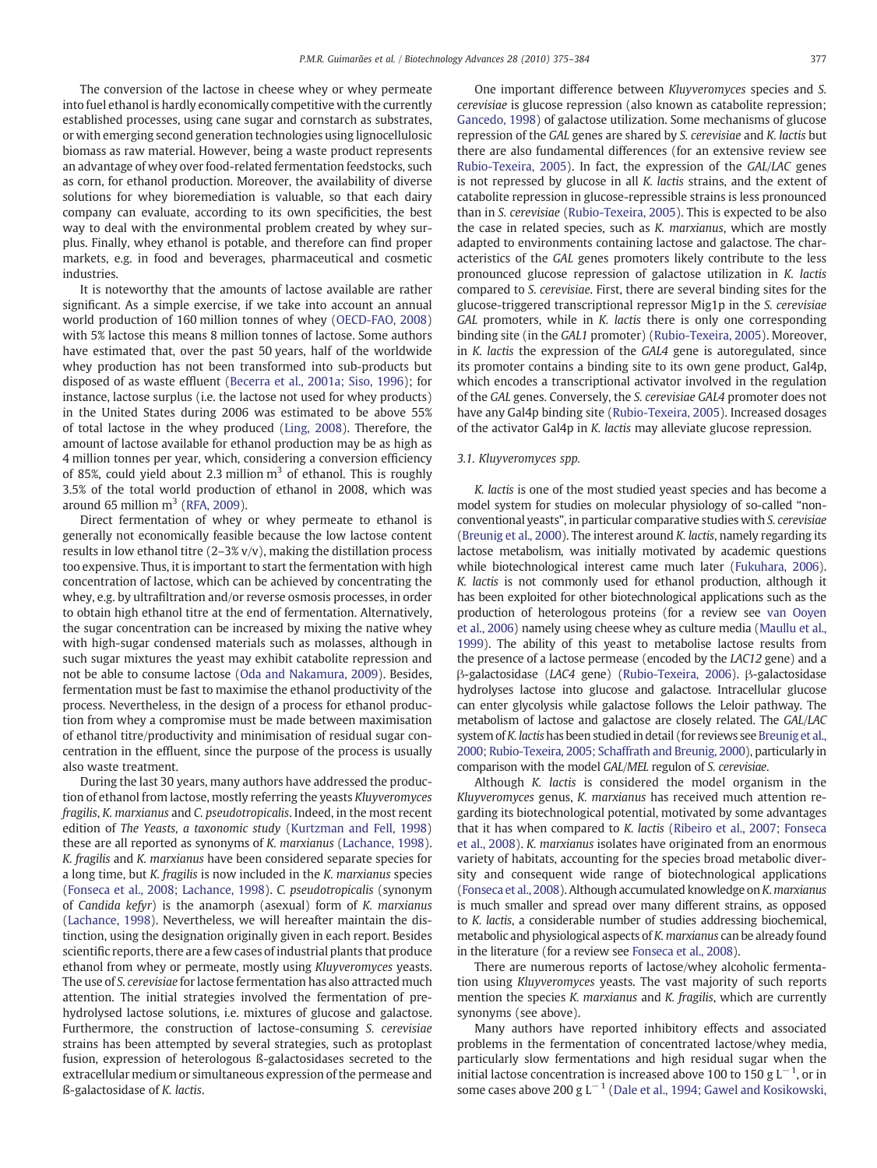The conversion of the lactose in cheese whey or whey permeate into fuel ethanol is hardly economically competitive with the currently established processes, using cane sugar and cornstarch as substrates, or with emerging second generation technologies using lignocellulosic biomass as raw material. However, being a waste product represents an advantage of whey over food-related fermentation feedstocks, such as corn, for ethanol production. Moreover, the availability of diverse solutions for whey bioremediation is valuable, so that each dairy company can evaluate, according to its own specificities, the best way to deal with the environmental problem created by whey surplus. Finally, whey ethanol is potable, and therefore can find proper markets, e.g. in food and beverages, pharmaceutical and cosmetic industries.

It is noteworthy that the amounts of lactose available are rather significant. As a simple exercise, if we take into account an annual world production of 160 million tonnes of whey ([OECD-FAO, 2008](#page-9-0)) with 5% lactose this means 8 million tonnes of lactose. Some authors have estimated that, over the past 50 years, half of the worldwide whey production has not been transformed into sub-products but disposed of as waste effluent [\(Becerra et al., 2001a; Siso, 1996](#page-7-0)); for instance, lactose surplus (i.e. the lactose not used for whey products) in the United States during 2006 was estimated to be above 55% of total lactose in the whey produced [\(Ling, 2008](#page-8-0)). Therefore, the amount of lactose available for ethanol production may be as high as 4 million tonnes per year, which, considering a conversion efficiency of 85%, could yield about 2.3 million  $m<sup>3</sup>$  of ethanol. This is roughly 3.5% of the total world production of ethanol in 2008, which was around 65 million  $m<sup>3</sup>$  [\(RFA, 2009\)](#page-9-0).

Direct fermentation of whey or whey permeate to ethanol is generally not economically feasible because the low lactose content results in low ethanol titre (2–3% v/v), making the distillation process too expensive. Thus, it is important to start the fermentation with high concentration of lactose, which can be achieved by concentrating the whey, e.g. by ultrafiltration and/or reverse osmosis processes, in order to obtain high ethanol titre at the end of fermentation. Alternatively, the sugar concentration can be increased by mixing the native whey with high-sugar condensed materials such as molasses, although in such sugar mixtures the yeast may exhibit catabolite repression and not be able to consume lactose [\(Oda and Nakamura, 2009\)](#page-9-0). Besides, fermentation must be fast to maximise the ethanol productivity of the process. Nevertheless, in the design of a process for ethanol production from whey a compromise must be made between maximisation of ethanol titre/productivity and minimisation of residual sugar concentration in the effluent, since the purpose of the process is usually also waste treatment.

During the last 30 years, many authors have addressed the production of ethanol from lactose, mostly referring the yeasts Kluyveromyces fragilis, K. marxianus and C. pseudotropicalis. Indeed, in the most recent edition of The Yeasts, a taxonomic study ([Kurtzman and Fell, 1998](#page-8-0)) these are all reported as synonyms of K. marxianus ([Lachance, 1998](#page-8-0)). K. fragilis and K. marxianus have been considered separate species for a long time, but K. fragilis is now included in the K. marxianus species [\(Fonseca et al., 2008; Lachance, 1998\)](#page-8-0). C. pseudotropicalis (synonym of Candida kefyr) is the anamorph (asexual) form of K. marxianus [\(Lachance, 1998](#page-8-0)). Nevertheless, we will hereafter maintain the distinction, using the designation originally given in each report. Besides scientific reports, there are a few cases of industrial plants that produce ethanol from whey or permeate, mostly using Kluyveromyces yeasts. The use of S. cerevisiae for lactose fermentation has also attracted much attention. The initial strategies involved the fermentation of prehydrolysed lactose solutions, i.e. mixtures of glucose and galactose. Furthermore, the construction of lactose-consuming S. cerevisiae strains has been attempted by several strategies, such as protoplast fusion, expression of heterologous ß-galactosidases secreted to the extracellular medium or simultaneous expression of the permease and ß-galactosidase of K. lactis.

One important difference between Kluyveromyces species and S. cerevisiae is glucose repression (also known as catabolite repression; [Gancedo, 1998](#page-8-0)) of galactose utilization. Some mechanisms of glucose repression of the GAL genes are shared by S. cerevisiae and K. lactis but there are also fundamental differences (for an extensive review see [Rubio-Texeira, 2005\)](#page-9-0). In fact, the expression of the GAL/LAC genes is not repressed by glucose in all K. lactis strains, and the extent of catabolite repression in glucose-repressible strains is less pronounced than in S. cerevisiae [\(Rubio-Texeira, 2005](#page-9-0)). This is expected to be also the case in related species, such as K. marxianus, which are mostly adapted to environments containing lactose and galactose. The characteristics of the GAL genes promoters likely contribute to the less pronounced glucose repression of galactose utilization in K. lactis compared to S. cerevisiae. First, there are several binding sites for the glucose-triggered transcriptional repressor Mig1p in the S. cerevisiae GAL promoters, while in K. lactis there is only one corresponding binding site (in the GAL1 promoter) [\(Rubio-Texeira, 2005](#page-9-0)). Moreover, in K. lactis the expression of the GAL4 gene is autoregulated, since its promoter contains a binding site to its own gene product, Gal4p, which encodes a transcriptional activator involved in the regulation of the GAL genes. Conversely, the S. cerevisiae GAL4 promoter does not have any Gal4p binding site [\(Rubio-Texeira, 2005\)](#page-9-0). Increased dosages of the activator Gal4p in K. lactis may alleviate glucose repression.

#### 3.1. Kluyveromyces spp.

K. lactis is one of the most studied yeast species and has become a model system for studies on molecular physiology of so-called "nonconventional yeasts", in particular comparative studies with S. cerevisiae [\(Breunig et al., 2000](#page-8-0)). The interest around K. lactis, namely regarding its lactose metabolism, was initially motivated by academic questions while biotechnological interest came much later [\(Fukuhara, 2006](#page-8-0)). K. lactis is not commonly used for ethanol production, although it has been exploited for other biotechnological applications such as the production of heterologous proteins (for a review see [van Ooyen](#page-9-0) [et al., 2006\)](#page-9-0) namely using cheese whey as culture media ([Maullu et al.,](#page-9-0) [1999](#page-9-0)). The ability of this yeast to metabolise lactose results from the presence of a lactose permease (encoded by the LAC12 gene) and a β-galactosidase (LAC4 gene) [\(Rubio-Texeira, 2006\)](#page-9-0). β-galactosidase hydrolyses lactose into glucose and galactose. Intracellular glucose can enter glycolysis while galactose follows the Leloir pathway. The metabolism of lactose and galactose are closely related. The GAL/LAC system of K. lactis has been studied in detail (for reviews see [Breunig et al.,](#page-8-0) [2000; Rubio-Texeira, 2005; Schaffrath and Breunig, 2000](#page-8-0)), particularly in comparison with the model GAL/MEL regulon of S. cerevisiae.

Although K. lactis is considered the model organism in the Kluyveromyces genus, K. marxianus has received much attention regarding its biotechnological potential, motivated by some advantages that it has when compared to K. lactis ([Ribeiro et al., 2007; Fonseca](#page-9-0) [et al., 2008](#page-9-0)). K. marxianus isolates have originated from an enormous variety of habitats, accounting for the species broad metabolic diversity and consequent wide range of biotechnological applications [\(Fonseca et al., 2008](#page-8-0)). Although accumulated knowledge on K. marxianus is much smaller and spread over many different strains, as opposed to K. lactis, a considerable number of studies addressing biochemical, metabolic and physiological aspects of K. marxianus can be already found in the literature (for a review see [Fonseca et al., 2008\)](#page-8-0).

There are numerous reports of lactose/whey alcoholic fermentation using Kluyveromyces yeasts. The vast majority of such reports mention the species K. marxianus and K. fragilis, which are currently synonyms (see above).

Many authors have reported inhibitory effects and associated problems in the fermentation of concentrated lactose/whey media, particularly slow fermentations and high residual sugar when the initial lactose concentration is increased above 100 to 150 g  $L^{-1}$ , or in some cases above 200 g  $L^{-1}$  ([Dale et al., 1994; Gawel and Kosikowski,](#page-8-0)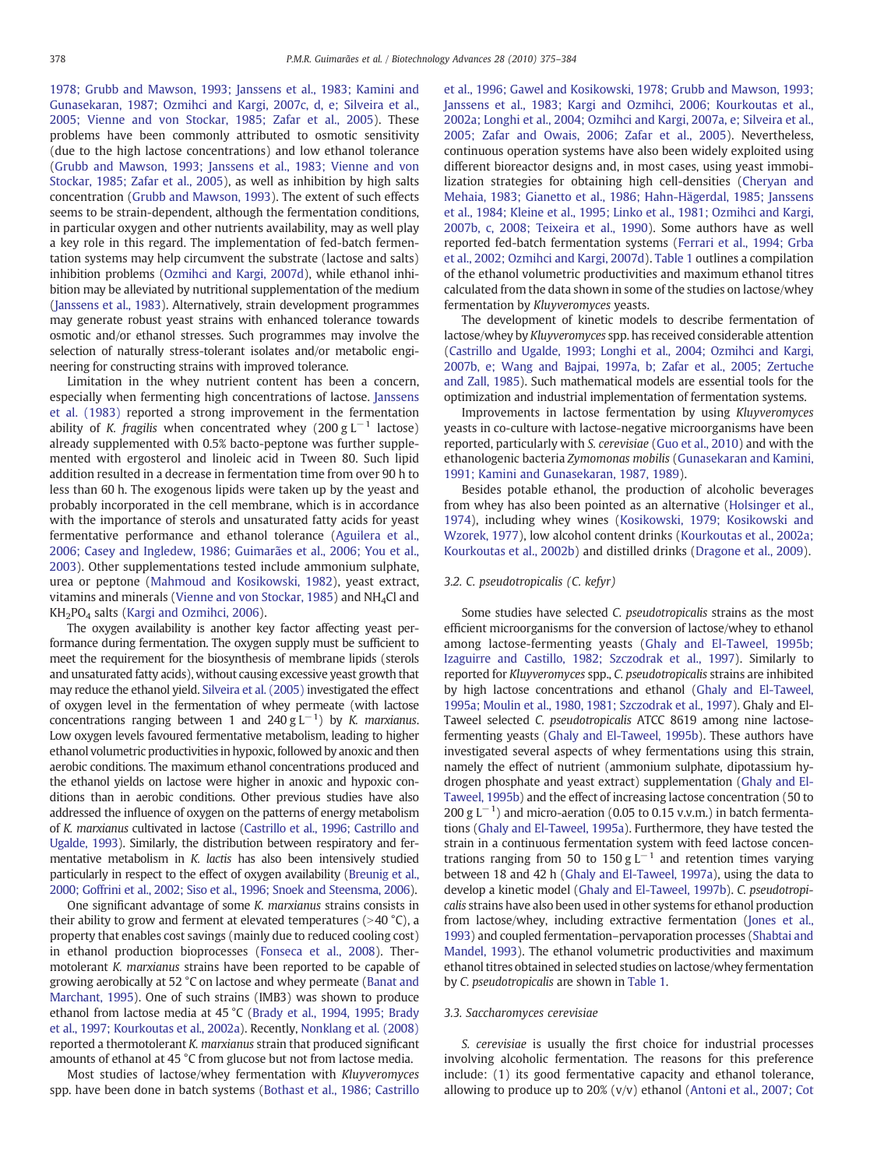[1978; Grubb and Mawson, 1993; Janssens et al., 1983; Kamini and](#page-8-0) [Gunasekaran, 1987; Ozmihci and Kargi, 2007c, d, e; Silveira et al.,](#page-8-0) [2005; Vienne and von Stockar, 1985; Zafar et al., 2005\)](#page-8-0). These problems have been commonly attributed to osmotic sensitivity (due to the high lactose concentrations) and low ethanol tolerance [\(Grubb and Mawson, 1993; Janssens et al., 1983; Vienne and von](#page-8-0) [Stockar, 1985; Zafar et al., 2005\)](#page-8-0), as well as inhibition by high salts concentration ([Grubb and Mawson, 1993](#page-8-0)). The extent of such effects seems to be strain-dependent, although the fermentation conditions, in particular oxygen and other nutrients availability, may as well play a key role in this regard. The implementation of fed-batch fermentation systems may help circumvent the substrate (lactose and salts) inhibition problems ([Ozmihci and Kargi, 2007d](#page-9-0)), while ethanol inhibition may be alleviated by nutritional supplementation of the medium [\(Janssens et al., 1983](#page-8-0)). Alternatively, strain development programmes may generate robust yeast strains with enhanced tolerance towards osmotic and/or ethanol stresses. Such programmes may involve the selection of naturally stress-tolerant isolates and/or metabolic engineering for constructing strains with improved tolerance.

Limitation in the whey nutrient content has been a concern, especially when fermenting high concentrations of lactose. [Janssens](#page-8-0) [et al. \(1983\)](#page-8-0) reported a strong improvement in the fermentation ability of K. fragilis when concentrated whey (200 g  $L^{-1}$  lactose) already supplemented with 0.5% bacto-peptone was further supplemented with ergosterol and linoleic acid in Tween 80. Such lipid addition resulted in a decrease in fermentation time from over 90 h to less than 60 h. The exogenous lipids were taken up by the yeast and probably incorporated in the cell membrane, which is in accordance with the importance of sterols and unsaturated fatty acids for yeast fermentative performance and ethanol tolerance [\(Aguilera et al.,](#page-7-0) [2006; Casey and Ingledew, 1986; Guimarães et al., 2006; You et al.,](#page-7-0) [2003\)](#page-7-0). Other supplementations tested include ammonium sulphate, urea or peptone [\(Mahmoud and Kosikowski, 1982\)](#page-9-0), yeast extract, vitamins and minerals ([Vienne and von Stockar, 1985](#page-9-0)) and NH4Cl and KH2PO4 salts [\(Kargi and Ozmihci, 2006](#page-8-0)).

The oxygen availability is another key factor affecting yeast performance during fermentation. The oxygen supply must be sufficient to meet the requirement for the biosynthesis of membrane lipids (sterols and unsaturated fatty acids), without causing excessive yeast growth that may reduce the ethanol yield. [Silveira et al. \(2005\)](#page-9-0) investigated the effect of oxygen level in the fermentation of whey permeate (with lactose concentrations ranging between 1 and 240 g  $L^{-1}$ ) by K. marxianus. Low oxygen levels favoured fermentative metabolism, leading to higher ethanol volumetric productivities in hypoxic, followed by anoxic and then aerobic conditions. The maximum ethanol concentrations produced and the ethanol yields on lactose were higher in anoxic and hypoxic conditions than in aerobic conditions. Other previous studies have also addressed the influence of oxygen on the patterns of energy metabolism of K. marxianus cultivated in lactose [\(Castrillo et al., 1996; Castrillo and](#page-8-0) [Ugalde, 1993](#page-8-0)). Similarly, the distribution between respiratory and fermentative metabolism in K. lactis has also been intensively studied particularly in respect to the effect of oxygen availability [\(Breunig et al.,](#page-8-0) [2000; Goffrini et al., 2002; Siso et al., 1996; Snoek and Steensma, 2006](#page-8-0)).

One significant advantage of some K. marxianus strains consists in their ability to grow and ferment at elevated temperatures ( $>40$  °C), a property that enables cost savings (mainly due to reduced cooling cost) in ethanol production bioprocesses ([Fonseca et al., 2008\)](#page-8-0). Thermotolerant K. marxianus strains have been reported to be capable of growing aerobically at 52 °C on lactose and whey permeate [\(Banat and](#page-7-0) [Marchant, 1995\)](#page-7-0). One of such strains (IMB3) was shown to produce ethanol from lactose media at 45 °C ([Brady et al., 1994, 1995; Brady](#page-7-0) [et al., 1997; Kourkoutas et al., 2002a\)](#page-7-0). Recently, [Nonklang et al. \(2008\)](#page-9-0) reported a thermotolerant K. marxianus strain that produced significant amounts of ethanol at 45 °C from glucose but not from lactose media.

Most studies of lactose/whey fermentation with Kluyveromyces spp. have been done in batch systems [\(Bothast et al., 1986; Castrillo](#page-7-0)

[et al., 1996; Gawel and Kosikowski, 1978; Grubb and Mawson, 1993;](#page-7-0) [Janssens et al., 1983; Kargi and Ozmihci, 2006; Kourkoutas et al.,](#page-7-0) [2002a; Longhi et al., 2004; Ozmihci and Kargi, 2007a, e; Silveira et al.,](#page-7-0) [2005; Zafar and Owais, 2006; Zafar et al., 2005](#page-7-0)). Nevertheless, continuous operation systems have also been widely exploited using different bioreactor designs and, in most cases, using yeast immobilization strategies for obtaining high cell-densities [\(Cheryan and](#page-8-0) [Mehaia, 1983; Gianetto et al., 1986; Hahn-Hägerdal, 1985; Janssens](#page-8-0) [et al., 1984; Kleine et al., 1995; Linko et al., 1981; Ozmihci and Kargi,](#page-8-0) [2007b, c, 2008; Teixeira et al., 1990](#page-8-0)). Some authors have as well reported fed-batch fermentation systems ([Ferrari et al., 1994; Grba](#page-8-0) [et al., 2002; Ozmihci and Kargi, 2007d\)](#page-8-0). [Table 1](#page-4-0) outlines a compilation of the ethanol volumetric productivities and maximum ethanol titres calculated from the data shown in some of the studies on lactose/whey fermentation by Kluyveromyces yeasts.

The development of kinetic models to describe fermentation of lactose/whey by Kluyveromyces spp. has received considerable attention [\(Castrillo and Ugalde, 1993; Longhi et al., 2004; Ozmihci and Kargi,](#page-8-0) [2007b, e; Wang and Bajpai, 1997a, b; Zafar et al., 2005; Zertuche](#page-8-0) [and Zall, 1985\)](#page-8-0). Such mathematical models are essential tools for the optimization and industrial implementation of fermentation systems.

Improvements in lactose fermentation by using Kluyveromyces yeasts in co-culture with lactose-negative microorganisms have been reported, particularly with S. cerevisiae [\(Guo et al., 2010\)](#page-8-0) and with the ethanologenic bacteria Zymomonas mobilis [\(Gunasekaran and Kamini,](#page-8-0) [1991; Kamini and Gunasekaran, 1987, 1989](#page-8-0)).

Besides potable ethanol, the production of alcoholic beverages from whey has also been pointed as an alternative [\(Holsinger et al.,](#page-8-0) [1974\)](#page-8-0), including whey wines [\(Kosikowski, 1979; Kosikowski and](#page-8-0) [Wzorek, 1977](#page-8-0)), low alcohol content drinks ([Kourkoutas et al., 2002a;](#page-8-0) [Kourkoutas et al., 2002b](#page-8-0)) and distilled drinks ([Dragone et al., 2009\)](#page-8-0).

#### 3.2. C. pseudotropicalis (C. kefyr)

Some studies have selected C. pseudotropicalis strains as the most efficient microorganisms for the conversion of lactose/whey to ethanol among lactose-fermenting yeasts [\(Ghaly and El-Taweel, 1995b;](#page-8-0) [Izaguirre and Castillo, 1982; Szczodrak et al., 1997](#page-8-0)). Similarly to reported for Kluyveromyces spp., C. pseudotropicalis strains are inhibited by high lactose concentrations and ethanol [\(Ghaly and El-Taweel,](#page-8-0) [1995a; Moulin et al., 1980, 1981; Szczodrak et al., 1997\)](#page-8-0). Ghaly and El-Taweel selected C. pseudotropicalis ATCC 8619 among nine lactosefermenting yeasts [\(Ghaly and El-Taweel, 1995b](#page-8-0)). These authors have investigated several aspects of whey fermentations using this strain, namely the effect of nutrient (ammonium sulphate, dipotassium hydrogen phosphate and yeast extract) supplementation ([Ghaly and El-](#page-8-0)[Taweel, 1995b\)](#page-8-0) and the effect of increasing lactose concentration (50 to 200 g  $L^{-1}$ ) and micro-aeration (0.05 to 0.15 v.v.m.) in batch fermentations ([Ghaly and El-Taweel, 1995a\)](#page-8-0). Furthermore, they have tested the strain in a continuous fermentation system with feed lactose concentrations ranging from 50 to 150 g L<sup>-1</sup> and retention times varying between 18 and 42 h [\(Ghaly and El-Taweel, 1997a](#page-8-0)), using the data to develop a kinetic model [\(Ghaly and El-Taweel, 1997b](#page-8-0)). C. pseudotropicalis strains have also been used in other systems for ethanol production from lactose/whey, including extractive fermentation [\(Jones et al.,](#page-8-0) [1993\)](#page-8-0) and coupled fermentation–pervaporation processes [\(Shabtai and](#page-9-0) [Mandel, 1993](#page-9-0)). The ethanol volumetric productivities and maximum ethanol titres obtained in selected studies on lactose/whey fermentation by C. pseudotropicalis are shown in [Table 1](#page-4-0).

#### 3.3. Saccharomyces cerevisiae

S. cerevisiae is usually the first choice for industrial processes involving alcoholic fermentation. The reasons for this preference include: (1) its good fermentative capacity and ethanol tolerance, allowing to produce up to  $20\%$  (v/v) ethanol ([Antoni et al., 2007; Cot](#page-7-0)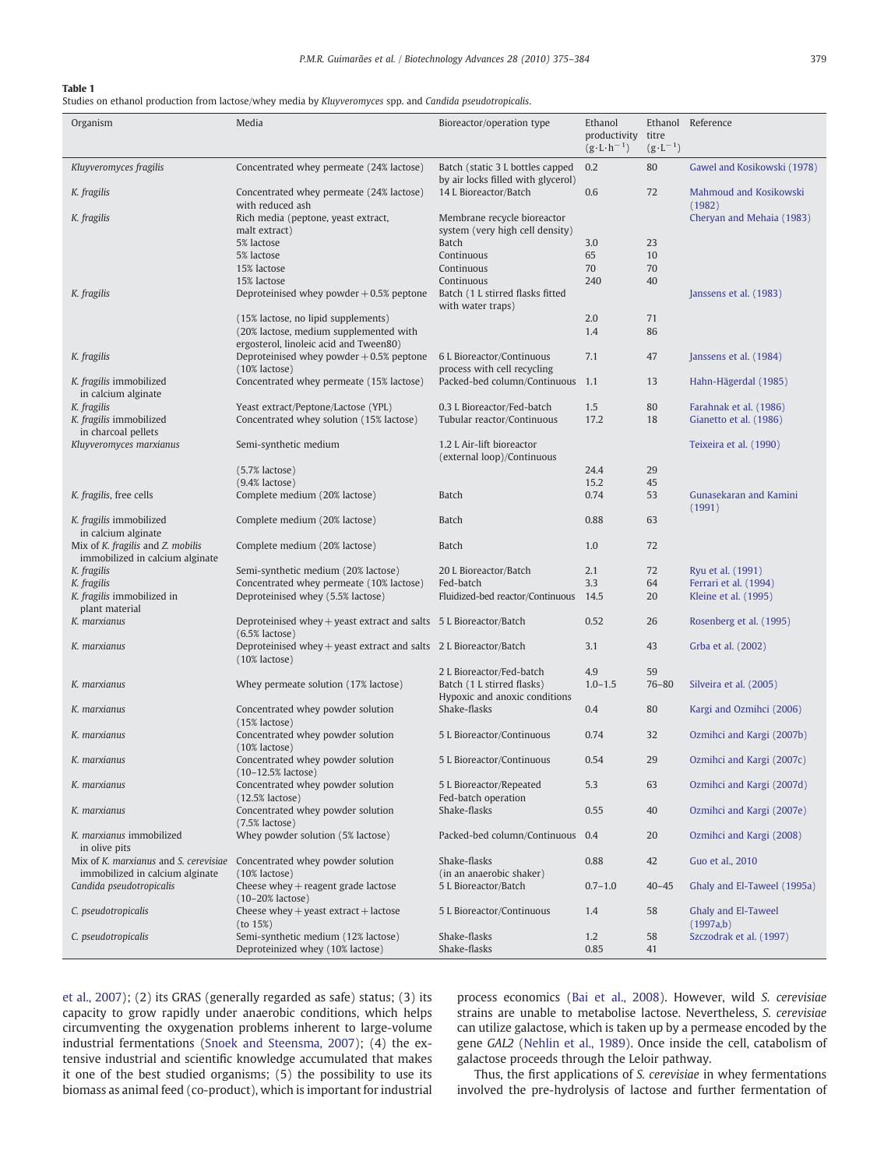#### <span id="page-4-0"></span>Table 1

Studies on ethanol production from lactose/whey media by Kluyveromyces spp. and Candida pseudotropicalis.

| Organism                                                                 | Media                                                                                      | Bioreactor/operation type                                              | Ethanol<br>productivity<br>$(g \cdot L \cdot h^{-1})$ | titre<br>$(g \cdot L^{-1})$ | Ethanol Reference                             |
|--------------------------------------------------------------------------|--------------------------------------------------------------------------------------------|------------------------------------------------------------------------|-------------------------------------------------------|-----------------------------|-----------------------------------------------|
| Kluyveromyces fragilis                                                   | Concentrated whey permeate (24% lactose)                                                   | Batch (static 3 L bottles capped<br>by air locks filled with glycerol) | 0.2                                                   | 80                          | Gawel and Kosikowski (1978)                   |
| K. fragilis                                                              | Concentrated whey permeate (24% lactose)<br>with reduced ash                               | 14 L Bioreactor/Batch                                                  | 0.6                                                   | 72                          | Mahmoud and Kosikowski<br>(1982)              |
| K. fragilis                                                              | Rich media (peptone, yeast extract,<br>malt extract)                                       | Membrane recycle bioreactor<br>system (very high cell density)         |                                                       |                             | Cheryan and Mehaia (1983)                     |
|                                                                          | 5% lactose<br>5% lactose                                                                   | <b>Batch</b><br>Continuous                                             | 3.0<br>65                                             | 23<br>10                    |                                               |
|                                                                          | 15% lactose                                                                                | Continuous                                                             | 70                                                    | 70                          |                                               |
| K. fragilis                                                              | 15% lactose<br>Deproteinised whey powder $+0.5%$ peptone                                   | Continuous<br>Batch (1 L stirred flasks fitted<br>with water traps)    | 240                                                   | 40                          | Janssens et al. (1983)                        |
|                                                                          | (15% lactose, no lipid supplements)                                                        |                                                                        | 2.0                                                   | 71                          |                                               |
|                                                                          | (20% lactose, medium supplemented with<br>ergosterol, linoleic acid and Tween80)           |                                                                        | 1.4                                                   | 86                          |                                               |
| K. fragilis                                                              | Deproteinised whey powder $+0.5%$ peptone<br>$(10\%$ lactose)                              | 6 L Bioreactor/Continuous<br>process with cell recycling               | 7.1                                                   | 47                          | Janssens et al. (1984)                        |
| K. fragilis immobilized<br>in calcium alginate                           | Concentrated whey permeate (15% lactose)                                                   | Packed-bed column/Continuous 1.1                                       |                                                       | 13                          | Hahn-Hägerdal (1985)                          |
| K. fragilis                                                              | Yeast extract/Peptone/Lactose (YPL)<br>Concentrated whey solution (15% lactose)            | 0.3 L Bioreactor/Fed-batch                                             | 1.5                                                   | 80                          | Farahnak et al. (1986)                        |
| K. fragilis immobilized<br>in charcoal pellets                           |                                                                                            | Tubular reactor/Continuous                                             | 17.2                                                  | 18                          | Gianetto et al. (1986)                        |
| Kluyveromyces marxianus                                                  | Semi-synthetic medium                                                                      | 1.2 L Air-lift bioreactor<br>(external loop)/Continuous                |                                                       |                             | Teixeira et al. (1990)                        |
|                                                                          | $(5.7\%$ lactose)<br>$(9.4\%$ lactose)                                                     |                                                                        | 24.4<br>15.2                                          | 29<br>45                    |                                               |
| K. fragilis, free cells                                                  | Complete medium (20% lactose)                                                              | Batch                                                                  | 0.74                                                  | 53                          | Gunasekaran and Kamini<br>(1991)              |
| K. fragilis immobilized<br>in calcium alginate                           | Complete medium (20% lactose)                                                              | Batch                                                                  | 0.88                                                  | 63                          |                                               |
| Mix of K. fragilis and Z. mobilis<br>immobilized in calcium alginate     | Complete medium (20% lactose)                                                              | Batch                                                                  | 1.0                                                   | 72                          |                                               |
| K. fragilis                                                              | Semi-synthetic medium (20% lactose)                                                        | 20 L Bioreactor/Batch                                                  | 2.1                                                   | 72                          | Ryu et al. (1991)                             |
| K. fragilis<br>K. fragilis immobilized in<br>plant material              | Concentrated whey permeate (10% lactose)<br>Deproteinised whey (5.5% lactose)              | Fed-batch<br>Fluidized-bed reactor/Continuous                          | 3.3<br>14.5                                           | 64<br>20                    | Ferrari et al. (1994)<br>Kleine et al. (1995) |
| K. marxianus                                                             | Deproteinised whey $+$ yeast extract and salts $5 L$ Bioreactor/Batch<br>$(6.5\%$ lactose) |                                                                        | 0.52                                                  | 26                          | Rosenberg et al. (1995)                       |
| K. marxianus                                                             | Deproteinised whey $+$ yeast extract and salts $2 L$ Bioreactor/Batch<br>$(10\%$ lactose)  |                                                                        | 3.1                                                   | 43                          | Grba et al. (2002)                            |
| K. marxianus                                                             | Whey permeate solution (17% lactose)                                                       | 2 L Bioreactor/Fed-batch<br>Batch (1 L stirred flasks)                 | 4.9<br>$1.0 - 1.5$                                    | 59<br>$76 - 80$             | Silveira et al. (2005)                        |
|                                                                          |                                                                                            | Hypoxic and anoxic conditions                                          |                                                       |                             |                                               |
| K. marxianus                                                             | Concentrated whey powder solution<br>$(15\%$ lactose)                                      | Shake-flasks                                                           | 0.4                                                   | 80                          | Kargi and Ozmihci (2006)                      |
| K. marxianus                                                             | Concentrated whey powder solution<br>$(10\%$ lactose)                                      | 5 L Bioreactor/Continuous                                              | 0.74                                                  | 32                          | Ozmihci and Kargi (2007b)                     |
| K. marxianus                                                             | Concentrated whey powder solution<br>$(10-12.5\% \text{ lactose})$                         | 5 L Bioreactor/Continuous                                              | 0.54                                                  | 29                          | Ozmihci and Kargi (2007c)                     |
| K. marxianus                                                             | Concentrated whey powder solution<br>$(12.5\%$ lactose)                                    | 5 L Bioreactor/Repeated<br>Fed-batch operation                         | 5.3                                                   | 63                          | Ozmihci and Kargi (2007d)                     |
| K. marxianus                                                             | Concentrated whey powder solution<br>$(7.5\%$ lactose)                                     | Shake-flasks                                                           | 0.55                                                  | 40                          | Ozmihci and Kargi (2007e)                     |
| K. marxianus immobilized<br>in olive pits                                | Whey powder solution (5% lactose)                                                          | Packed-bed column/Continuous 0.4                                       |                                                       | 20                          | Ozmihci and Kargi (2008)                      |
| Mix of K. marxianus and S. cerevisiae<br>immobilized in calcium alginate | Concentrated whey powder solution<br>$(10\%$ lactose)                                      | Shake-flasks<br>(in an anaerobic shaker)                               | 0.88                                                  | 42                          | Guo et al., 2010                              |
| Candida pseudotropicalis                                                 | Cheese whey $+$ reagent grade lactose<br>$(10-20\% \text{ lactose})$                       | 5 L Bioreactor/Batch                                                   | $0.7 - 1.0$                                           | $40 - 45$                   | Ghaly and El-Taweel (1995a)                   |
| C. pseudotropicalis                                                      | Cheese whey $+$ yeast extract $+$ lactose<br>(to 15%)                                      | 5 L Bioreactor/Continuous                                              | 1.4                                                   | 58                          | Ghaly and El-Taweel<br>(1997a,b)              |
| C. pseudotropicalis                                                      | Semi-synthetic medium (12% lactose)<br>Deproteinized whey (10% lactose)                    | Shake-flasks<br>Shake-flasks                                           | 1.2<br>0.85                                           | 58<br>41                    | Szczodrak et al. (1997)                       |

[et al., 2007\)](#page-7-0); (2) its GRAS (generally regarded as safe) status; (3) its capacity to grow rapidly under anaerobic conditions, which helps circumventing the oxygenation problems inherent to large-volume industrial fermentations [\(Snoek and Steensma, 2007](#page-9-0)); (4) the extensive industrial and scientific knowledge accumulated that makes it one of the best studied organisms; (5) the possibility to use its biomass as animal feed (co-product), which is important for industrial process economics ([Bai et al., 2008](#page-7-0)). However, wild S. cerevisiae strains are unable to metabolise lactose. Nevertheless, S. cerevisiae can utilize galactose, which is taken up by a permease encoded by the gene GAL2 ([Nehlin et al., 1989\)](#page-9-0). Once inside the cell, catabolism of galactose proceeds through the Leloir pathway.

Thus, the first applications of S. cerevisiae in whey fermentations involved the pre-hydrolysis of lactose and further fermentation of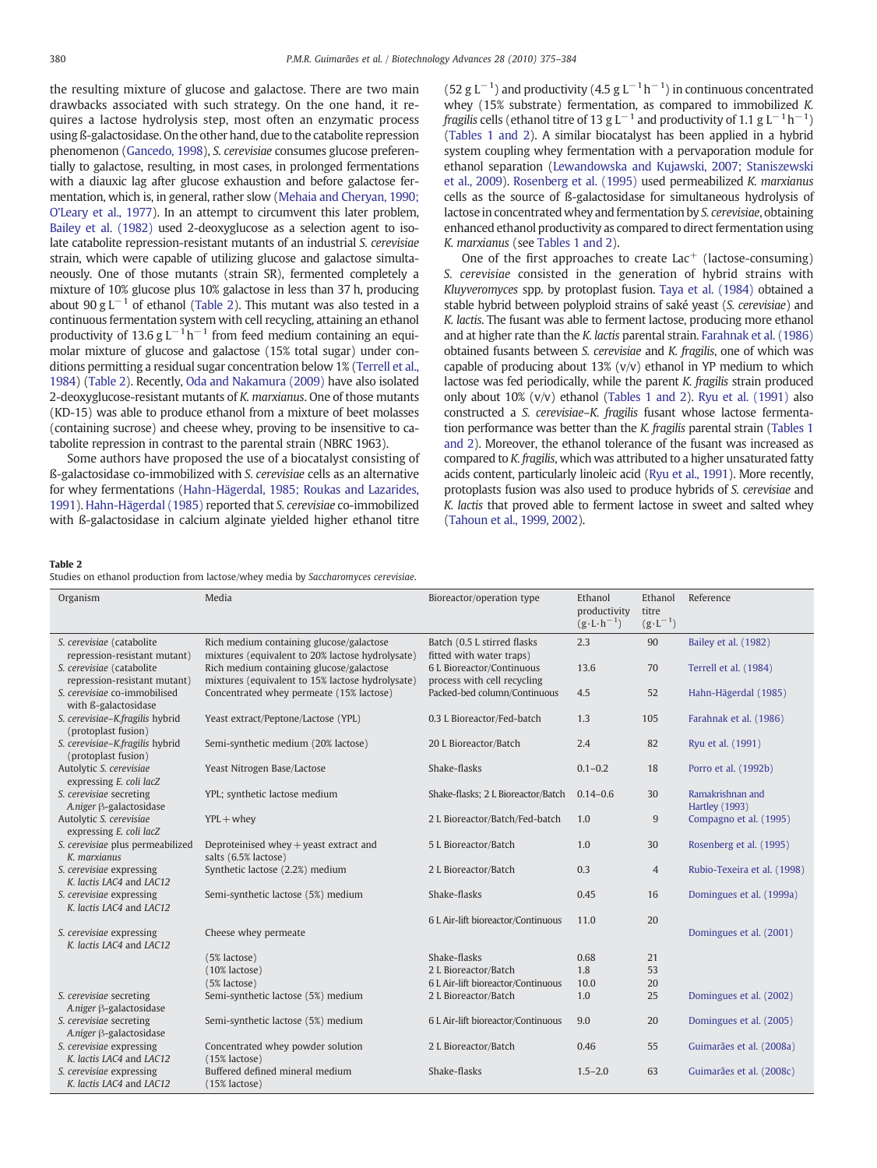<span id="page-5-0"></span>the resulting mixture of glucose and galactose. There are two main drawbacks associated with such strategy. On the one hand, it requires a lactose hydrolysis step, most often an enzymatic process using ß-galactosidase. On the other hand, due to the catabolite repression phenomenon [\(Gancedo, 1998\)](#page-8-0), S. cerevisiae consumes glucose preferentially to galactose, resulting, in most cases, in prolonged fermentations with a diauxic lag after glucose exhaustion and before galactose fermentation, which is, in general, rather slow [\(Mehaia and Cheryan, 1990;](#page-9-0) [O'Leary et al., 1977](#page-9-0)). In an attempt to circumvent this later problem, [Bailey et al. \(1982\)](#page-7-0) used 2-deoxyglucose as a selection agent to isolate catabolite repression-resistant mutants of an industrial S. cerevisiae strain, which were capable of utilizing glucose and galactose simultaneously. One of those mutants (strain SR), fermented completely a mixture of 10% glucose plus 10% galactose in less than 37 h, producing about 90 g L<sup>-1</sup> of ethanol (Table 2). This mutant was also tested in a continuous fermentation system with cell recycling, attaining an ethanol productivity of 13.6 g L<sup>-1</sup>h<sup>-1</sup> from feed medium containing an equimolar mixture of glucose and galactose (15% total sugar) under conditions permitting a residual sugar concentration below 1% [\(Terrell et al.,](#page-9-0) [1984](#page-9-0)) (Table 2). Recently, [Oda and Nakamura \(2009\)](#page-9-0) have also isolated 2-deoxyglucose-resistant mutants of K. marxianus. One of those mutants (KD-15) was able to produce ethanol from a mixture of beet molasses (containing sucrose) and cheese whey, proving to be insensitive to catabolite repression in contrast to the parental strain (NBRC 1963).

Some authors have proposed the use of a biocatalyst consisting of ß-galactosidase co-immobilized with S. cerevisiae cells as an alternative for whey fermentations ([Hahn-Hägerdal, 1985; Roukas and Lazarides,](#page-8-0) [1991](#page-8-0)). [Hahn-Hägerdal \(1985\)](#page-8-0) reported that S. cerevisiae co-immobilized with ß-galactosidase in calcium alginate yielded higher ethanol titre (52 g L<sup>-1</sup>) and productivity (4.5 g L<sup>-1</sup>h<sup>-1</sup>) in continuous concentrated whey (15% substrate) fermentation, as compared to immobilized K. fragilis cells (ethanol titre of 13 g L<sup>-1</sup> and productivity of 1.1 g L<sup>-1</sup>h<sup>-1</sup>) [\(Tables 1 and 2\)](#page-4-0). A similar biocatalyst has been applied in a hybrid system coupling whey fermentation with a pervaporation module for ethanol separation ([Lewandowska and Kujawski, 2007; Staniszewski](#page-8-0) [et al., 2009](#page-8-0)). [Rosenberg et al. \(1995\)](#page-9-0) used permeabilized K. marxianus cells as the source of ß-galactosidase for simultaneous hydrolysis of lactose in concentrated whey and fermentation by S. cerevisiae, obtaining enhanced ethanol productivity as compared to direct fermentation using K. marxianus (see [Tables 1 and 2\)](#page-4-0).

One of the first approaches to create  $Lac^+$  (lactose-consuming) S. cerevisiae consisted in the generation of hybrid strains with Kluyveromyces spp. by protoplast fusion. [Taya et al. \(1984\)](#page-9-0) obtained a stable hybrid between polyploid strains of saké yeast (S. cerevisiae) and K. lactis. The fusant was able to ferment lactose, producing more ethanol and at higher rate than the K. lactis parental strain. [Farahnak et al. \(1986\)](#page-8-0) obtained fusants between S. cerevisiae and K. fragilis, one of which was capable of producing about  $13\%$  (v/v) ethanol in YP medium to which lactose was fed periodically, while the parent K. fragilis strain produced only about 10% (v/v) ethanol [\(Tables 1 and 2](#page-4-0)). [Ryu et al. \(1991\)](#page-9-0) also constructed a S. cerevisiae–K. fragilis fusant whose lactose fermentation performance was better than the K. fragilis parental strain [\(Tables 1](#page-4-0) [and 2\)](#page-4-0). Moreover, the ethanol tolerance of the fusant was increased as compared to K. fragilis, which was attributed to a higher unsaturated fatty acids content, particularly linoleic acid [\(Ryu et al., 1991\)](#page-9-0). More recently, protoplasts fusion was also used to produce hybrids of S. cerevisiae and K. lactis that proved able to ferment lactose in sweet and salted whey [\(Tahoun et al., 1999, 2002](#page-9-0)).

#### Table 2

Studies on ethanol production from lactose/whey media by Saccharomyces cerevisiae.

| Organism                                                  | Media                                                                                        | Bioreactor/operation type                                | Ethanol<br>productivity<br>$(g \cdot L \cdot h^{-1})$ | Ethanol<br>titre<br>$(g \cdot L^{-1})$ | Reference                                 |
|-----------------------------------------------------------|----------------------------------------------------------------------------------------------|----------------------------------------------------------|-------------------------------------------------------|----------------------------------------|-------------------------------------------|
| S. cerevisiae (catabolite                                 | Rich medium containing glucose/galactose                                                     | Batch (0.5 L stirred flasks)                             | 2.3                                                   | 90                                     | Bailey et al. (1982)                      |
| repression-resistant mutant)                              | mixtures (equivalent to 20% lactose hydrolysate)                                             | fitted with water traps)                                 |                                                       |                                        |                                           |
| S. cerevisiae (catabolite<br>repression-resistant mutant) | Rich medium containing glucose/galactose<br>mixtures (equivalent to 15% lactose hydrolysate) | 6 L Bioreactor/Continuous<br>process with cell recycling | 13.6                                                  | 70                                     | Terrell et al. (1984)                     |
| S. cerevisiae co-immobilised<br>with ß-galactosidase      | Concentrated whey permeate (15% lactose)                                                     | Packed-bed column/Continuous                             | 4.5                                                   | 52                                     | Hahn-Hägerdal (1985)                      |
| S. cerevisiae-K.fragilis hybrid<br>(protoplast fusion)    | Yeast extract/Peptone/Lactose (YPL)                                                          | 0.3 L Bioreactor/Fed-batch                               | 1.3                                                   | 105                                    | Farahnak et al. (1986)                    |
| S. cerevisiae-K.fragilis hybrid<br>(protoplast fusion)    | Semi-synthetic medium (20% lactose)                                                          | 20 L Bioreactor/Batch                                    | 2.4                                                   | 82                                     | Ryu et al. (1991)                         |
| Autolytic S. cerevisiae<br>expressing E. coli lacZ        | Yeast Nitrogen Base/Lactose                                                                  | Shake-flasks                                             | $0.1 - 0.2$                                           | 18                                     | Porro et al. (1992b)                      |
| S. cerevisiae secreting<br>A.niger B-galactosidase        | YPL; synthetic lactose medium                                                                | Shake-flasks; 2 L Bioreactor/Batch                       | $0.14 - 0.6$                                          | 30                                     | Ramakrishnan and<br><b>Hartley</b> (1993) |
| Autolytic S. cerevisiae<br>expressing E. coli lacZ        | $YPL +$ whey                                                                                 | 2 L Bioreactor/Batch/Fed-batch                           | 1.0                                                   | $\overline{9}$                         | Compagno et al. (1995)                    |
| S. cerevisiae plus permeabilized<br>K. marxianus          | Deproteinised whey $+$ yeast extract and<br>salts (6.5% lactose)                             | 5 L Bioreactor/Batch                                     | 1.0                                                   | 30                                     | Rosenberg et al. (1995)                   |
| S. cerevisiae expressing<br>K. lactis LAC4 and LAC12      | Synthetic lactose (2.2%) medium                                                              | 2 L Bioreactor/Batch                                     | 0.3                                                   | $\overline{4}$                         | Rubio-Texeira et al. (1998)               |
| S. cerevisiae expressing<br>K. lactis LAC4 and LAC12      | Semi-synthetic lactose (5%) medium                                                           | Shake-flasks                                             | 0.45                                                  | 16                                     | Domingues et al. (1999a)                  |
|                                                           |                                                                                              | 6 L Air-lift bioreactor/Continuous                       | 11.0                                                  | 20                                     |                                           |
| S. cerevisiae expressing<br>K. lactis LAC4 and LAC12      | Cheese whey permeate                                                                         |                                                          |                                                       |                                        | Domingues et al. (2001)                   |
|                                                           | (5% lactose)                                                                                 | Shake-flasks                                             | 0.68                                                  | 21                                     |                                           |
|                                                           | $(10\%$ lactose)                                                                             | 2 L Bioreactor/Batch                                     | 1.8                                                   | 53                                     |                                           |
|                                                           | $(5%$ lactose)                                                                               | 6 L Air-lift bioreactor/Continuous                       | 10.0                                                  | 20                                     |                                           |
| S. cerevisiae secreting<br>A.niger B-galactosidase        | Semi-synthetic lactose (5%) medium                                                           | 2 L Bioreactor/Batch                                     | 1.0                                                   | 25                                     | Domingues et al. (2002)                   |
| S. cerevisiae secreting<br>A.niger B-galactosidase        | Semi-synthetic lactose (5%) medium                                                           | 6 L Air-lift bioreactor/Continuous                       | 9.0                                                   | 20                                     | Domingues et al. (2005)                   |
| S. cerevisiae expressing<br>K. lactis LAC4 and LAC12      | Concentrated whey powder solution<br>$(15\%$ lactose)                                        | 2 L Bioreactor/Batch                                     | 0.46                                                  | 55                                     | Guimarães et al. (2008a)                  |
| S. cerevisiae expressing<br>K. lactis LAC4 and LAC12      | Buffered defined mineral medium<br>(15% lactose)                                             | Shake-flasks                                             | $1.5 - 2.0$                                           | 63                                     | Guimarães et al. (2008c)                  |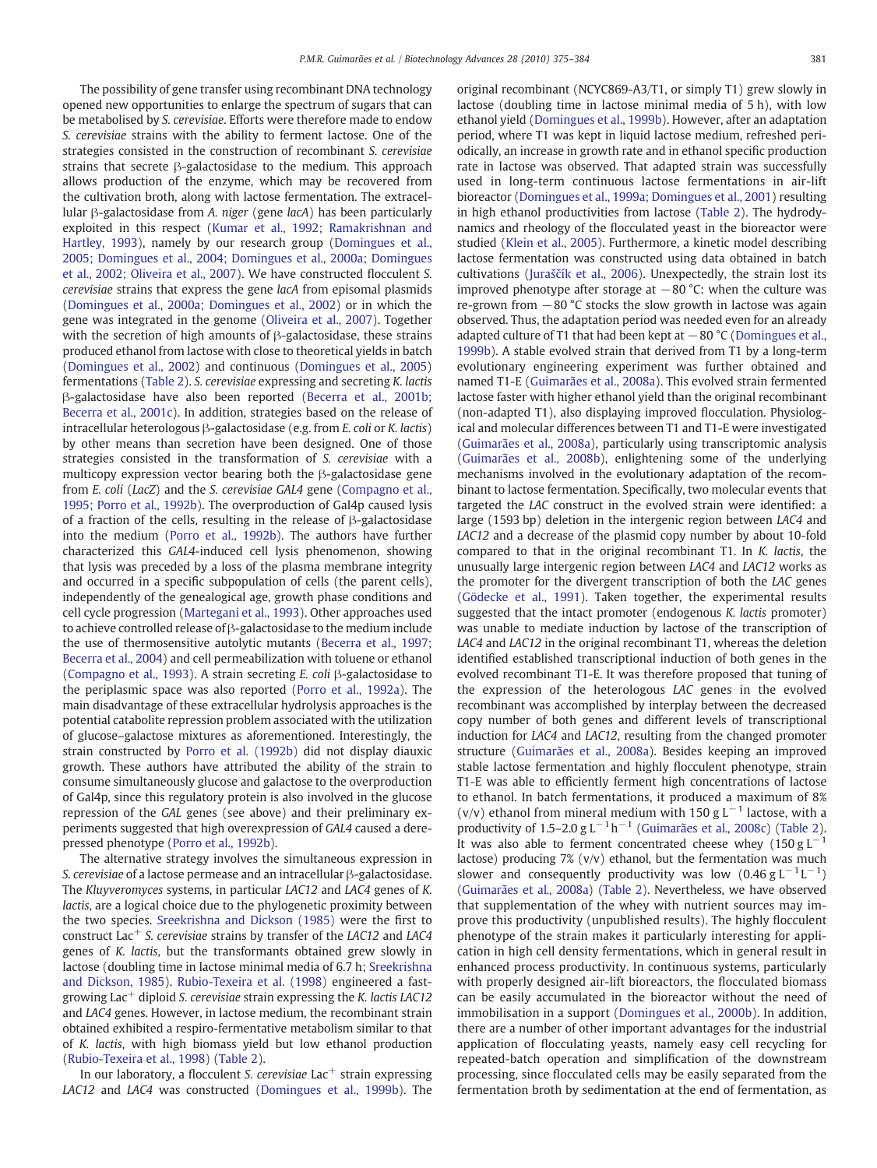The possibility of gene transfer using recombinant DNA technology opened new opportunities to enlarge the spectrum of sugars that can be metabolised by S. cerevisiae. Efforts were therefore made to endow S. cerevisiae strains with the ability to ferment lactose. One of the strategies consisted in the construction of recombinant S. cerevisiae strains that secrete β-galactosidase to the medium. This approach allows production of the enzyme, which may be recovered from the cultivation broth, along with lactose fermentation. The extracellular β-galactosidase from A. niger (gene lacA) has been particularly exploited in this respect [\(Kumar et al., 1992; Ramakrishnan and](#page-8-0) [Hartley, 1993](#page-8-0)), namely by our research group [\(Domingues et al.,](#page-8-0) [2005; Domingues et al., 2004; Domingues et al., 2000a; Domingues](#page-8-0) [et al., 2002; Oliveira et al., 2007\)](#page-8-0). We have constructed flocculent S. cerevisiae strains that express the gene lacA from episomal plasmids [\(Domingues et al., 2000a; Domingues et al., 2002](#page-8-0)) or in which the gene was integrated in the genome ([Oliveira et al., 2007](#page-9-0)). Together with the secretion of high amounts of  $\beta$ -galactosidase, these strains produced ethanol from lactose with close to theoretical yields in batch [\(Domingues et al., 2002\)](#page-8-0) and continuous ([Domingues et al., 2005](#page-8-0)) fermentations [\(Table 2\)](#page-5-0). S. cerevisiae expressing and secreting K. lactis β-galactosidase have also been reported ([Becerra et al., 2001b;](#page-7-0) [Becerra et al., 2001c](#page-7-0)). In addition, strategies based on the release of intracellular heterologous β-galactosidase (e.g. from E. coli or K. lactis) by other means than secretion have been designed. One of those strategies consisted in the transformation of S. cerevisiae with a multicopy expression vector bearing both the β-galactosidase gene from E. coli (LacZ) and the S. cerevisiae GAL4 gene [\(Compagno et al.,](#page-8-0) [1995; Porro et al., 1992b\)](#page-8-0). The overproduction of Gal4p caused lysis of a fraction of the cells, resulting in the release of β-galactosidase into the medium [\(Porro et al., 1992b\)](#page-9-0). The authors have further characterized this GAL4-induced cell lysis phenomenon, showing that lysis was preceded by a loss of the plasma membrane integrity and occurred in a specific subpopulation of cells (the parent cells), independently of the genealogical age, growth phase conditions and cell cycle progression [\(Martegani et al., 1993](#page-9-0)). Other approaches used to achieve controlled release of β-galactosidase to the medium include the use of thermosensitive autolytic mutants [\(Becerra et al., 1997;](#page-7-0) [Becerra et al., 2004](#page-7-0)) and cell permeabilization with toluene or ethanol [\(Compagno et al., 1993](#page-8-0)). A strain secreting E. coli β-galactosidase to the periplasmic space was also reported ([Porro et al., 1992a](#page-9-0)). The main disadvantage of these extracellular hydrolysis approaches is the potential catabolite repression problem associated with the utilization of glucose–galactose mixtures as aforementioned. Interestingly, the strain constructed by [Porro et al. \(1992b\)](#page-9-0) did not display diauxic growth. These authors have attributed the ability of the strain to consume simultaneously glucose and galactose to the overproduction of Gal4p, since this regulatory protein is also involved in the glucose repression of the GAL genes (see above) and their preliminary experiments suggested that high overexpression of GAL4 caused a derepressed phenotype [\(Porro et al., 1992b](#page-9-0)).

The alternative strategy involves the simultaneous expression in S. cerevisiae of a lactose permease and an intracellular β-galactosidase. The Kluyveromyces systems, in particular LAC12 and LAC4 genes of K. lactis, are a logical choice due to the phylogenetic proximity between the two species. [Sreekrishna and Dickson \(1985\)](#page-9-0) were the first to construct Lac<sup>+</sup> S. cerevisiae strains by transfer of the LAC12 and LAC4 genes of K. lactis, but the transformants obtained grew slowly in lactose (doubling time in lactose minimal media of 6.7 h; [Sreekrishna](#page-9-0) [and Dickson, 1985\)](#page-9-0). [Rubio-Texeira et al. \(1998\)](#page-9-0) engineered a fastgrowing Lac<sup>+</sup> diploid S. cerevisiae strain expressing the K. lactis LAC12 and LAC4 genes. However, in lactose medium, the recombinant strain obtained exhibited a respiro-fermentative metabolism similar to that of K. lactis, with high biomass yield but low ethanol production [\(Rubio-Texeira et al., 1998](#page-9-0)) ([Table 2](#page-5-0)).

In our laboratory, a flocculent S. cerevisiae  $\text{Lac}^+$  strain expressing LAC12 and LAC4 was constructed [\(Domingues et al., 1999b\)](#page-8-0). The original recombinant (NCYC869-A3/T1, or simply T1) grew slowly in lactose (doubling time in lactose minimal media of 5 h), with low ethanol yield ([Domingues et al., 1999b](#page-8-0)). However, after an adaptation period, where T1 was kept in liquid lactose medium, refreshed periodically, an increase in growth rate and in ethanol specific production rate in lactose was observed. That adapted strain was successfully used in long-term continuous lactose fermentations in air-lift bioreactor ([Domingues et al., 1999a; Domingues et al., 2001](#page-8-0)) resulting in high ethanol productivities from lactose [\(Table 2](#page-5-0)). The hydrodynamics and rheology of the flocculated yeast in the bioreactor were studied ([Klein et al., 2005\)](#page-8-0). Furthermore, a kinetic model describing lactose fermentation was constructed using data obtained in batch cultivations (Jurašč[ík et al., 2006](#page-8-0)). Unexpectedly, the strain lost its improved phenotype after storage at −80 °C: when the culture was re-grown from −80 °C stocks the slow growth in lactose was again observed. Thus, the adaptation period was needed even for an already adapted culture of T1 that had been kept at  $-80$  °C ([Domingues et al.,](#page-8-0) [1999b](#page-8-0)). A stable evolved strain that derived from T1 by a long-term evolutionary engineering experiment was further obtained and named T1-E [\(Guimarães et al., 2008a](#page-8-0)). This evolved strain fermented lactose faster with higher ethanol yield than the original recombinant (non-adapted T1), also displaying improved flocculation. Physiological and molecular differences between T1 and T1-E were investigated [\(Guimarães et al., 2008a](#page-8-0)), particularly using transcriptomic analysis [\(Guimarães et al., 2008b\)](#page-8-0), enlightening some of the underlying mechanisms involved in the evolutionary adaptation of the recombinant to lactose fermentation. Specifically, two molecular events that targeted the LAC construct in the evolved strain were identified: a large (1593 bp) deletion in the intergenic region between LAC4 and LAC12 and a decrease of the plasmid copy number by about 10-fold compared to that in the original recombinant T1. In K. lactis, the unusually large intergenic region between LAC4 and LAC12 works as the promoter for the divergent transcription of both the LAC genes [\(Gödecke et al., 1991](#page-8-0)). Taken together, the experimental results suggested that the intact promoter (endogenous K. lactis promoter) was unable to mediate induction by lactose of the transcription of LAC4 and LAC12 in the original recombinant T1, whereas the deletion identified established transcriptional induction of both genes in the evolved recombinant T1-E. It was therefore proposed that tuning of the expression of the heterologous LAC genes in the evolved recombinant was accomplished by interplay between the decreased copy number of both genes and different levels of transcriptional induction for LAC4 and LAC12, resulting from the changed promoter structure ([Guimarães et al., 2008a\)](#page-8-0). Besides keeping an improved stable lactose fermentation and highly flocculent phenotype, strain T1-E was able to efficiently ferment high concentrations of lactose to ethanol. In batch fermentations, it produced a maximum of 8% (v/v) ethanol from mineral medium with 150 g  $L^{-1}$  lactose, with a productivity of 1.5–2.0 g L<sup>-1</sup>h<sup>-1</sup> ([Guimarães et al., 2008c](#page-8-0)) [\(Table 2](#page-5-0)). It was also able to ferment concentrated cheese whey (150 g  $L^{-1}$ lactose) producing 7% (v/v) ethanol, but the fermentation was much slower and consequently productivity was low  $(0.46 \text{ g L}^{-1} \text{L}^{-1})$ [\(Guimarães et al., 2008a\)](#page-8-0) ([Table 2](#page-5-0)). Nevertheless, we have observed that supplementation of the whey with nutrient sources may improve this productivity (unpublished results). The highly flocculent phenotype of the strain makes it particularly interesting for application in high cell density fermentations, which in general result in enhanced process productivity. In continuous systems, particularly with properly designed air-lift bioreactors, the flocculated biomass can be easily accumulated in the bioreactor without the need of immobilisation in a support ([Domingues et al., 2000b\)](#page-8-0). In addition, there are a number of other important advantages for the industrial application of flocculating yeasts, namely easy cell recycling for repeated-batch operation and simplification of the downstream processing, since flocculated cells may be easily separated from the fermentation broth by sedimentation at the end of fermentation, as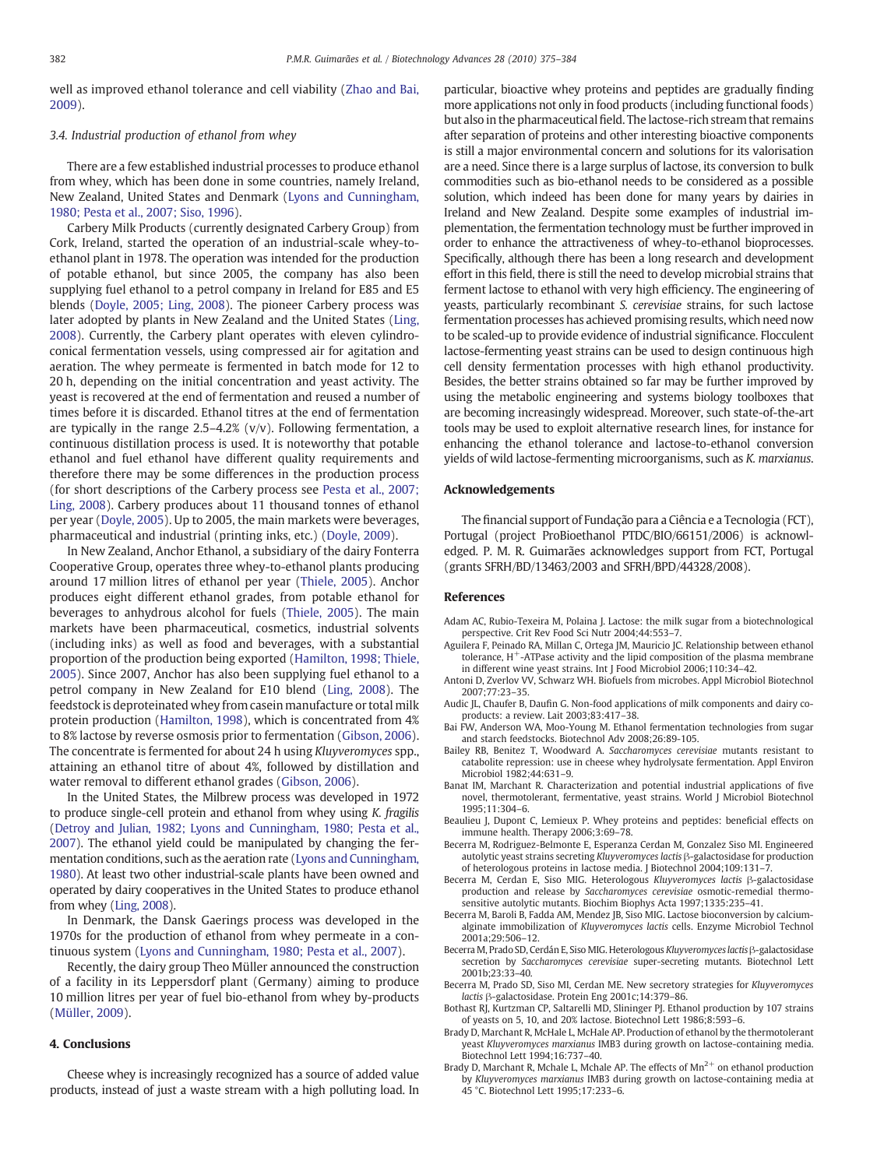<span id="page-7-0"></span>well as improved ethanol tolerance and cell viability ([Zhao and Bai,](#page-9-0) [2009](#page-9-0)).

#### 3.4. Industrial production of ethanol from whey

There are a few established industrial processes to produce ethanol from whey, which has been done in some countries, namely Ireland, New Zealand, United States and Denmark ([Lyons and Cunningham,](#page-9-0) [1980; Pesta et al., 2007; Siso, 1996](#page-9-0)).

Carbery Milk Products (currently designated Carbery Group) from Cork, Ireland, started the operation of an industrial-scale whey-toethanol plant in 1978. The operation was intended for the production of potable ethanol, but since 2005, the company has also been supplying fuel ethanol to a petrol company in Ireland for E85 and E5 blends [\(Doyle, 2005; Ling, 2008\)](#page-8-0). The pioneer Carbery process was later adopted by plants in New Zealand and the United States ([Ling,](#page-8-0) [2008\)](#page-8-0). Currently, the Carbery plant operates with eleven cylindroconical fermentation vessels, using compressed air for agitation and aeration. The whey permeate is fermented in batch mode for 12 to 20 h, depending on the initial concentration and yeast activity. The yeast is recovered at the end of fermentation and reused a number of times before it is discarded. Ethanol titres at the end of fermentation are typically in the range  $2.5-4.2%$  (v/v). Following fermentation, a continuous distillation process is used. It is noteworthy that potable ethanol and fuel ethanol have different quality requirements and therefore there may be some differences in the production process (for short descriptions of the Carbery process see [Pesta et al., 2007;](#page-9-0) [Ling, 2008\)](#page-9-0). Carbery produces about 11 thousand tonnes of ethanol per year ([Doyle, 2005](#page-8-0)). Up to 2005, the main markets were beverages, pharmaceutical and industrial (printing inks, etc.) ([Doyle, 2009](#page-8-0)).

In New Zealand, Anchor Ethanol, a subsidiary of the dairy Fonterra Cooperative Group, operates three whey-to-ethanol plants producing around 17 million litres of ethanol per year [\(Thiele, 2005\)](#page-9-0). Anchor produces eight different ethanol grades, from potable ethanol for beverages to anhydrous alcohol for fuels ([Thiele, 2005](#page-9-0)). The main markets have been pharmaceutical, cosmetics, industrial solvents (including inks) as well as food and beverages, with a substantial proportion of the production being exported [\(Hamilton, 1998; Thiele,](#page-8-0) [2005\)](#page-8-0). Since 2007, Anchor has also been supplying fuel ethanol to a petrol company in New Zealand for E10 blend [\(Ling, 2008\)](#page-8-0). The feedstock is deproteinated whey from casein manufacture or total milk protein production ([Hamilton, 1998\)](#page-8-0), which is concentrated from 4% to 8% lactose by reverse osmosis prior to fermentation [\(Gibson, 2006](#page-8-0)). The concentrate is fermented for about 24 h using Kluyveromyces spp., attaining an ethanol titre of about 4%, followed by distillation and water removal to different ethanol grades [\(Gibson, 2006\)](#page-8-0).

In the United States, the Milbrew process was developed in 1972 to produce single-cell protein and ethanol from whey using K. fragilis [\(Detroy and Julian, 1982; Lyons and Cunningham, 1980; Pesta et al.,](#page-8-0) [2007](#page-8-0)). The ethanol yield could be manipulated by changing the fermentation conditions, such as the aeration rate [\(Lyons and Cunningham,](#page-9-0) [1980](#page-9-0)). At least two other industrial-scale plants have been owned and operated by dairy cooperatives in the United States to produce ethanol from whey [\(Ling, 2008\)](#page-8-0).

In Denmark, the Dansk Gaerings process was developed in the 1970s for the production of ethanol from whey permeate in a continuous system [\(Lyons and Cunningham, 1980; Pesta et al., 2007\)](#page-9-0).

Recently, the dairy group Theo Müller announced the construction of a facility in its Leppersdorf plant (Germany) aiming to produce 10 million litres per year of fuel bio-ethanol from whey by-products [\(Müller, 2009\)](#page-9-0).

#### 4. Conclusions

Cheese whey is increasingly recognized has a source of added value products, instead of just a waste stream with a high polluting load. In particular, bioactive whey proteins and peptides are gradually finding more applications not only in food products (including functional foods) but also in the pharmaceutical field. The lactose-rich stream that remains after separation of proteins and other interesting bioactive components is still a major environmental concern and solutions for its valorisation are a need. Since there is a large surplus of lactose, its conversion to bulk commodities such as bio-ethanol needs to be considered as a possible solution, which indeed has been done for many years by dairies in Ireland and New Zealand. Despite some examples of industrial implementation, the fermentation technology must be further improved in order to enhance the attractiveness of whey-to-ethanol bioprocesses. Specifically, although there has been a long research and development effort in this field, there is still the need to develop microbial strains that ferment lactose to ethanol with very high efficiency. The engineering of yeasts, particularly recombinant S. cerevisiae strains, for such lactose fermentation processes has achieved promising results, which need now to be scaled-up to provide evidence of industrial significance. Flocculent lactose-fermenting yeast strains can be used to design continuous high cell density fermentation processes with high ethanol productivity. Besides, the better strains obtained so far may be further improved by using the metabolic engineering and systems biology toolboxes that are becoming increasingly widespread. Moreover, such state-of-the-art tools may be used to exploit alternative research lines, for instance for enhancing the ethanol tolerance and lactose-to-ethanol conversion yields of wild lactose-fermenting microorganisms, such as K. marxianus.

#### Acknowledgements

The financial support of Fundação para a Ciência e a Tecnologia (FCT), Portugal (project ProBioethanol PTDC/BIO/66151/2006) is acknowledged. P. M. R. Guimarães acknowledges support from FCT, Portugal (grants SFRH/BD/13463/2003 and SFRH/BPD/44328/2008).

#### References

- Adam AC, Rubio-Texeira M, Polaina J. Lactose: the milk sugar from a biotechnological perspective. Crit Rev Food Sci Nutr 2004;44:553–7.
- Aguilera F, Peinado RA, Millan C, Ortega JM, Mauricio JC. Relationship between ethanol tolerance, H<sup>+</sup>-ATPase activity and the lipid composition of the plasma membrane in different wine yeast strains. Int J Food Microbiol 2006;110:34–42.
- Antoni D, Zverlov VV, Schwarz WH. Biofuels from microbes. Appl Microbiol Biotechnol 2007;77:23–35.
- Audic JL, Chaufer B, Daufin G. Non-food applications of milk components and dairy coproducts: a review. Lait 2003;83:417–38.
- Bai FW, Anderson WA, Moo-Young M. Ethanol fermentation technologies from sugar and starch feedstocks. Biotechnol Adv 2008;26:89-105.
- Bailey RB, Benitez T, Woodward A. Saccharomyces cerevisiae mutants resistant to catabolite repression: use in cheese whey hydrolysate fermentation. Appl Environ Microbiol 1982;44:631–9.
- Banat IM, Marchant R. Characterization and potential industrial applications of five novel, thermotolerant, fermentative, yeast strains. World J Microbiol Biotechnol 1995;11:304–6.
- Beaulieu J, Dupont C, Lemieux P. Whey proteins and peptides: beneficial effects on immune health. Therapy 2006;3:69–78.
- Becerra M, Rodriguez-Belmonte E, Esperanza Cerdan M, Gonzalez Siso MI. Engineered autolytic yeast strains secreting Kluyveromyces lactis β-galactosidase for production of heterologous proteins in lactose media. J Biotechnol 2004;109:131–7.
- Becerra M, Cerdan E, Siso MIG. Heterologous Kluyveromyces lactis β-galactosidase production and release by Saccharomyces cerevisiae osmotic-remedial thermosensitive autolytic mutants. Biochim Biophys Acta 1997;1335:235–41.
- Becerra M, Baroli B, Fadda AM, Mendez JB, Siso MIG. Lactose bioconversion by calciumalginate immobilization of Kluyveromyces lactis cells. Enzyme Microbiol Technol 2001a;29:506–12.
- Becerra M, Prado SD, Cerdán E, Siso MIG. Heterologous Kluyveromyces lactis β-galactosidase secretion by Saccharomyces cerevisiae super-secreting mutants. Biotechnol Lett 2001b;23:33–40.
- Becerra M, Prado SD, Siso MI, Cerdan ME. New secretory strategies for Kluyveromyces lactis β-galactosidase. Protein Eng 2001c;14:379–86.
- Bothast RJ, Kurtzman CP, Saltarelli MD, Slininger PJ. Ethanol production by 107 strains of yeasts on 5, 10, and 20% lactose. Biotechnol Lett 1986;8:593–6.
- Brady D, Marchant R, McHale L, McHale AP. Production of ethanol by the thermotolerant yeast Kluyveromyces marxianus IMB3 during growth on lactose-containing media. Biotechnol Lett 1994;16:737–40.
- Brady D, Marchant R, Mchale L, Mchale AP. The effects of  $Mn^{2+}$  on ethanol production by Kluyveromyces marxianus IMB3 during growth on lactose-containing media at 45 °C. Biotechnol Lett 1995;17:233–6.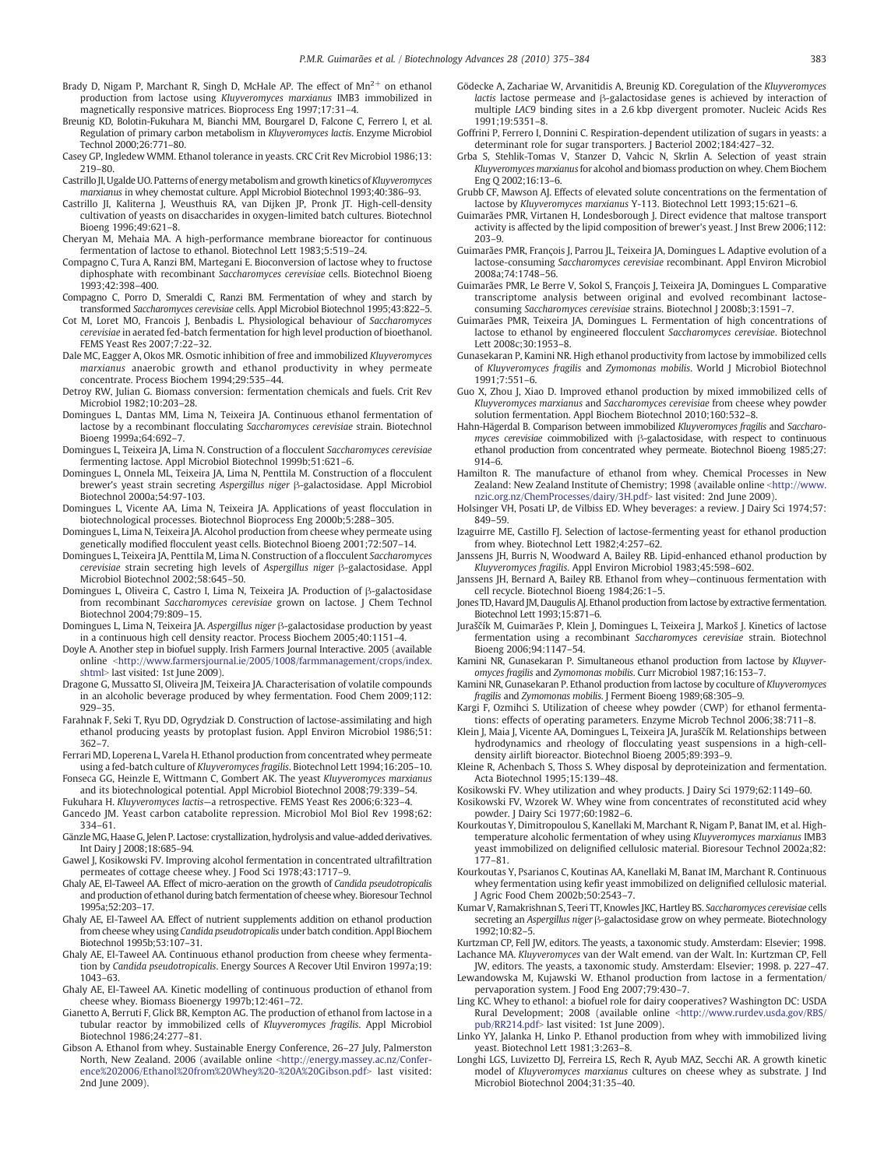- <span id="page-8-0"></span>Brady D, Nigam P, Marchant R, Singh D, McHale AP, The effect of  $Mn^{2+}$  on ethanol production from lactose using Kluyveromyces marxianus IMB3 immobilized in magnetically responsive matrices. Bioprocess Eng 1997;17:31–4.
- Breunig KD, Bolotin-Fukuhara M, Bianchi MM, Bourgarel D, Falcone C, Ferrero I, et al. Regulation of primary carbon metabolism in Kluyveromyces lactis. Enzyme Microbiol Technol 2000;26:771–80.
- Casey GP, Ingledew WMM. Ethanol tolerance in yeasts. CRC Crit Rev Microbiol 1986;13: 219–80.
- Castrillo JI, Ugalde UO. Patterns of energy metabolism and growth kinetics of Kluyveromyces marxianus in whey chemostat culture. Appl Microbiol Biotechnol 1993;40:386–93.
- Castrillo JI, Kaliterna J, Weusthuis RA, van Dijken JP, Pronk JT. High-cell-density cultivation of yeasts on disaccharides in oxygen-limited batch cultures. Biotechnol Bioeng 1996;49:621–8.
- Cheryan M, Mehaia MA. A high-performance membrane bioreactor for continuous fermentation of lactose to ethanol. Biotechnol Lett 1983;5:519–24.
- Compagno C, Tura A, Ranzi BM, Martegani E. Bioconversion of lactose whey to fructose diphosphate with recombinant Saccharomyces cerevisiae cells. Biotechnol Bioeng 1993;42:398–400.
- Compagno C, Porro D, Smeraldi C, Ranzi BM. Fermentation of whey and starch by transformed Saccharomyces cerevisiae cells. Appl Microbiol Biotechnol 1995;43:822–5.
- Cot M, Loret MO, Francois J, Benbadis L. Physiological behaviour of Saccharomyces cerevisiae in aerated fed-batch fermentation for high level production of bioethanol. FEMS Yeast Res 2007;7:22–32.
- Dale MC, Eagger A, Okos MR. Osmotic inhibition of free and immobilized Kluyveromyces marxianus anaerobic growth and ethanol productivity in whey permeate concentrate. Process Biochem 1994;29:535–44.
- Detroy RW, Julian G. Biomass conversion: fermentation chemicals and fuels. Crit Rev Microbiol 1982;10:203–28.
- Domingues L, Dantas MM, Lima N, Teixeira JA. Continuous ethanol fermentation of lactose by a recombinant flocculating Saccharomyces cerevisiae strain. Biotechnol Bioeng 1999a;64:692–7.
- Domingues L, Teixeira JA, Lima N. Construction of a flocculent Saccharomyces cerevisiae fermenting lactose. Appl Microbiol Biotechnol 1999b;51:621–6.
- Domingues L, Onnela ML, Teixeira JA, Lima N, Penttila M. Construction of a flocculent brewer's yeast strain secreting Aspergillus niger β-galactosidase. Appl Microbiol Biotechnol 2000a;54:97-103.
- Domingues L, Vicente AA, Lima N, Teixeira JA. Applications of yeast flocculation in biotechnological processes. Biotechnol Bioprocess Eng 2000b;5:288–305.
- Domingues L, Lima N, Teixeira JA. Alcohol production from cheese whey permeate using genetically modified flocculent yeast cells. Biotechnol Bioeng 2001;72:507–14.
- Domingues L, Teixeira JA, Penttila M, Lima N. Construction of a flocculent Saccharomyces cerevisiae strain secreting high levels of Aspergillus niger β-galactosidase. Appl Microbiol Biotechnol 2002;58:645–50.
- Domingues L, Oliveira C, Castro I, Lima N, Teixeira JA. Production of β-galactosidase from recombinant Saccharomyces cerevisiae grown on lactose. J Chem Technol Biotechnol 2004;79:809–15.
- Domingues L, Lima N, Teixeira JA. Aspergillus niger β-galactosidase production by yeast in a continuous high cell density reactor. Process Biochem 2005;40:1151–4.
- Doyle A. Another step in biofuel supply. Irish Farmers Journal Interactive. 2005 (available online <[http://www.farmersjournal.ie/2005/1008/farmmanagement/crops/index.](http://www.farmersjournal.ie/2005/1008/farmmanagement/crops/index.shtml) [shtml](http://www.farmersjournal.ie/2005/1008/farmmanagement/crops/index.shtml)> last visited: 1st June 2009).
- Dragone G, Mussatto SI, Oliveira JM, Teixeira JA. Characterisation of volatile compounds in an alcoholic beverage produced by whey fermentation. Food Chem 2009;112: 929–35.
- Farahnak F, Seki T, Ryu DD, Ogrydziak D. Construction of lactose-assimilating and high ethanol producing yeasts by protoplast fusion. Appl Environ Microbiol 1986;51: 362–7.
- Ferrari MD, Loperena L, Varela H. Ethanol production from concentrated whey permeate using a fed-batch culture of Kluyveromyces fragilis. Biotechnol Lett 1994;16:205–10.
- Fonseca GG, Heinzle E, Wittmann C, Gombert AK. The yeast Kluyveromyces marxianus and its biotechnological potential. Appl Microbiol Biotechnol 2008;79:339–54.
- Fukuhara H. Kluyveromyces lactis—a retrospective. FEMS Yeast Res 2006;6:323–4. Gancedo JM. Yeast carbon catabolite repression. Microbiol Mol Biol Rev 1998;62:
- 334–61. GänzleMG, Haase G, Jelen P. Lactose: crystallization, hydrolysis and value-added derivatives.
- Int Dairy J 2008;18:685–94.
- Gawel J, Kosikowski FV. Improving alcohol fermentation in concentrated ultrafiltration permeates of cottage cheese whey. J Food Sci 1978;43:1717–9.
- Ghaly AE, El-Taweel AA. Effect of micro-aeration on the growth of Candida pseudotropicalis and production of ethanol during batch fermentation of cheese whey. Bioresour Technol 1995a;52:203–17.
- Ghaly AE, El-Taweel AA. Effect of nutrient supplements addition on ethanol production from cheese whey using Candida pseudotropicalis under batch condition. Appl Biochem Biotechnol 1995b;53:107–31.
- Ghaly AE, El-Taweel AA. Continuous ethanol production from cheese whey fermentation by Candida pseudotropicalis. Energy Sources A Recover Util Environ 1997a;19: 1043–63.
- Ghaly AE, El-Taweel AA. Kinetic modelling of continuous production of ethanol from cheese whey. Biomass Bioenergy 1997b;12:461–72.
- Gianetto A, Berruti F, Glick BR, Kempton AG. The production of ethanol from lactose in a tubular reactor by immobilized cells of Kluyveromyces fragilis. Appl Microbiol Biotechnol 1986;24:277–81.
- Gibson A. Ethanol from whey. Sustainable Energy Conference, 26–27 July, Palmerston North, New Zealand. 2006 (available online <[http://energy.massey.ac.nz/Confer](http://energy.massey.ac.nz/Conference%202006/Ethanol%20from%20Whey%20-%20A%20Gibson.pdf)[ence%202006/Ethanol%20from%20Whey%20-%20A%20Gibson.pdf](http://energy.massey.ac.nz/Conference%202006/Ethanol%20from%20Whey%20-%20A%20Gibson.pdf)> last visited: 2nd June 2009).
- Gödecke A, Zachariae W, Arvanitidis A, Breunig KD. Coregulation of the Kluyveromyces lactis lactose permease and β-galactosidase genes is achieved by interaction of multiple LAC9 binding sites in a 2.6 kbp divergent promoter. Nucleic Acids Res  $1991:19:5351-8$
- Goffrini P, Ferrero I, Donnini C. Respiration-dependent utilization of sugars in yeasts: a determinant role for sugar transporters. J Bacteriol 2002;184:427–32.
- Grba S, Stehlik-Tomas V, Stanzer D, Vahcic N, Skrlin A. Selection of yeast strain Kluyveromyces marxianus for alcohol and biomass production on whey. Chem Biochem Eng Q 2002;16:13–6.
- Grubb CF, Mawson AJ. Effects of elevated solute concentrations on the fermentation of lactose by Kluyveromyces marxianus Y-113. Biotechnol Lett 1993;15:621–6.
- Guimarães PMR, Virtanen H, Londesborough J. Direct evidence that maltose transport activity is affected by the lipid composition of brewer's yeast. J Inst Brew 2006;112: 203–9.
- Guimarães PMR, François J, Parrou JL, Teixeira JA, Domingues L. Adaptive evolution of a lactose-consuming Saccharomyces cerevisiae recombinant. Appl Environ Microbiol 2008a;74:1748–56.
- Guimarães PMR, Le Berre V, Sokol S, François J, Teixeira JA, Domingues L. Comparative transcriptome analysis between original and evolved recombinant lactoseconsuming Saccharomyces cerevisiae strains. Biotechnol J 2008b;3:1591–7.
- Guimarães PMR, Teixeira JA, Domingues L. Fermentation of high concentrations of lactose to ethanol by engineered flocculent Saccharomyces cerevisiae. Biotechnol Lett 2008c;30:1953–8.
- Gunasekaran P, Kamini NR. High ethanol productivity from lactose by immobilized cells of Kluyveromyces fragilis and Zymomonas mobilis. World J Microbiol Biotechnol  $1991.7.551 - 6$
- Guo X, Zhou J, Xiao D. Improved ethanol production by mixed immobilized cells of Kluyveromyces marxianus and Saccharomyces cerevisiae from cheese whey powder solution fermentation. Appl Biochem Biotechnol 2010;160:532–8.
- Hahn-Hägerdal B. Comparison between immobilized Kluyveromyces fragilis and Saccharomyces cerevisiae coimmobilized with β-galactosidase, with respect to continuous ethanol production from concentrated whey permeate. Biotechnol Bioeng 1985;27: 914–6.
- Hamilton R. The manufacture of ethanol from whey. Chemical Processes in New Zealand: New Zealand Institute of Chemistry; 1998 (available online <[http://www.](http://www.nzic.org.nz/ChemProcesses/dairy/3H.pdf) [nzic.org.nz/ChemProcesses/dairy/3H.pdf](http://www.nzic.org.nz/ChemProcesses/dairy/3H.pdf)> last visited: 2nd June 2009)
- Holsinger VH, Posati LP, de Vilbiss ED. Whey beverages: a review. J Dairy Sci 1974;57: 849–59.
- Izaguirre ME, Castillo FJ. Selection of lactose-fermenting yeast for ethanol production from whey. Biotechnol Lett 1982;4:257–62.
- Janssens JH, Burris N, Woodward A, Bailey RB. Lipid-enhanced ethanol production by Kluyveromyces fragilis. Appl Environ Microbiol 1983;45:598–602.
- Janssens JH, Bernard A, Bailey RB. Ethanol from whey—continuous fermentation with cell recycle. Biotechnol Bioeng 1984;26:1–5.
- Jones TD, Havard JM, Daugulis AJ. Ethanol production from lactose by extractive fermentation. Biotechnol Lett 1993;15:871–6.
- Juraščík M, Guimarães P, Klein J, Domingues L, Teixeira J, Markoš J. Kinetics of lactose fermentation using a recombinant Saccharomyces cerevisiae strain. Biotechnol Bioeng 2006;94:1147–54.
- Kamini NR, Gunasekaran P. Simultaneous ethanol production from lactose by Kluyveromyces fragilis and Zymomonas mobilis. Curr Microbiol 1987;16:153–7.
- Kamini NR, Gunasekaran P. Ethanol production from lactose by coculture of Kluyveromyces fragilis and Zymomonas mobilis. J Ferment Bioeng 1989;68:305–9.
- Kargi F, Ozmihci S. Utilization of cheese whey powder (CWP) for ethanol fermentations: effects of operating parameters. Enzyme Microb Technol 2006;38:711–8.
- Klein J, Maia J, Vicente AA, Domingues L, Teixeira JA, Juraščík M. Relationships between hydrodynamics and rheology of flocculating yeast suspensions in a high-celldensity airlift bioreactor. Biotechnol Bioeng 2005;89:393–9.
- Kleine R, Achenbach S, Thoss S. Whey disposal by deproteinization and fermentation. Acta Biotechnol 1995;15:139–48.
- Kosikowski FV. Whey utilization and whey products. J Dairy Sci 1979;62:1149–60.
- Kosikowski FV, Wzorek W. Whey wine from concentrates of reconstituted acid whey powder. J Dairy Sci 1977;60:1982–6.
- Kourkoutas Y, Dimitropoulou S, Kanellaki M, Marchant R, Nigam P, Banat IM, et al. Hightemperature alcoholic fermentation of whey using Kluyveromyces marxianus IMB3 yeast immobilized on delignified cellulosic material. Bioresour Technol 2002a;82: 177–81.
- Kourkoutas Y, Psarianos C, Koutinas AA, Kanellaki M, Banat IM, Marchant R. Continuous whey fermentation using kefir yeast immobilized on delignified cellulosic material. J Agric Food Chem 2002b;50:2543–7.
- Kumar V, Ramakrishnan S, Teeri TT, Knowles JKC, Hartley BS. Saccharomyces cerevisiae cells secreting an Aspergillus niger β-galactosidase grow on whey permeate. Biotechnology 1992;10:82–5.

Kurtzman CP, Fell JW, editors. The yeasts, a taxonomic study. Amsterdam: Elsevier; 1998.

- Lachance MA. Kluyveromyces van der Walt emend. van der Walt. In: Kurtzman CP, Fell JW, editors. The yeasts, a taxonomic study. Amsterdam: Elsevier; 1998. p. 227–47.
- Lewandowska M, Kujawski W. Ethanol production from lactose in a fermentation/ pervaporation system. J Food Eng 2007;79:430–7.
- Ling KC. Whey to ethanol: a biofuel role for dairy cooperatives? Washington DC: USDA Rural Development; 2008 (available online <[http://www.rurdev.usda.gov/RBS/](http://www.rurdev.usda.gov/RBS/pub/RR214.pdf) [pub/RR214.pdf](http://www.rurdev.usda.gov/RBS/pub/RR214.pdf)> last visited: 1st June 2009).
- Linko YY, Jalanka H, Linko P. Ethanol production from whey with immobilized living yeast. Biotechnol Lett 1981;3:263–8.
- Longhi LGS, Luvizetto DJ, Ferreira LS, Rech R, Ayub MAZ, Secchi AR. A growth kinetic model of Kluyveromyces marxianus cultures on cheese whey as substrate. J Ind Microbiol Biotechnol 2004;31:35–40.